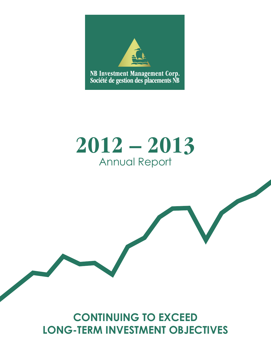

# **2012 – 2013** Annual Report

## **CONTINUING TO EXCEED LONG-TERM INVESTMENT OBJECTIVES**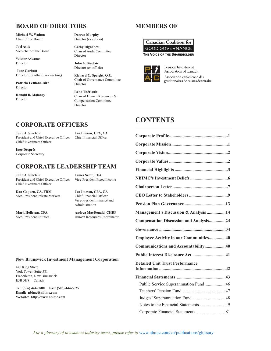### **BOARD OF DIRECTORS**

**Michael W. Walton** Chair of the Board

**Joel Attis** Vice-chair of the Board

**Wiktor Askanas** Director

**Jane Garbutt** Director (ex officio, non-voting)

**Patricia LeBlanc-Bird** Director

**Ronald B. Maloney** Director

**Darren Murphy** Director (ex officio)

**Cathy Rignanesi** Chair of Audit Committee Director

**John A. Sinclair** Director (ex officio)

**Richard C. Speight, Q.C.** Chair of Governance Committee Director

**Reno Thériault** Chair of Human Resources & Compensation Committee Director

### **CORPORATE OFFICERS**

**John A. Sinclair Jan Imeson, CPA, CA** President and Chief Executive Officer Chief Financial Officer Chief Investment Officer

**Inge Després** Corporate Secretary

### **CORPORATE LEADERSHIP TEAM**

**John A. Sinclair James Scott, CFA** President and Chief Executive Officer Vice-President Fixed Income Chief Investment Officer

**Dan Goguen, CA, FRM Jan Imeson, CPA, CA** Vice-President Private Markets Chief Financial Officer

Vice-President Equities

Vice-President Finance and

Administration

**Mark Holleran, CFA Andrea MacDonald, CHRP**

#### **New Brunswick Investment Management Corporation**

440 King Street York Tower, Suite 581 Fredericton, New Brunswick E3B 5H8 Canada

**Tel: (506) 444-5800 Fax: (506) 444-5025 Email: nbimc@nbimc.com Website: http://www.nbimc.com**

### **MEMBERS OF**





Pension Investment Association of Canada Association canadienne des gestionnaires de caisses de retraite

### **CONTENTS**

| Management's Discussion & Analysis 14  |
|----------------------------------------|
| Compensation Discussion and Analysis24 |
|                                        |
| Employee Activity in our Communities40 |
| Communications and Accountability40    |
|                                        |
| <b>Detailed Unit Trust Performance</b> |
|                                        |
| Public Service Superannuation Fund46   |
|                                        |
|                                        |
| Notes to the Financial Statements49    |
|                                        |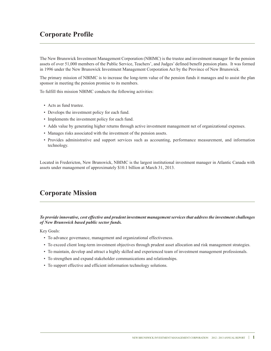### **Corporate Profile**

The New Brunswick Investment Management Corporation (NBIMC) is the trustee and investment manager for the pension assets of over 51,000 members of the Public Service, Teachers', and Judges' defined benefit pension plans. It was formed in 1996 under the New Brunswick Investment Management Corporation Act by the Province of New Brunswick.

The primary mission of NBIMC is to increase the long-term value of the pension funds it manages and to assist the plan sponsor in meeting the pension promise to its members.

To fulfill this mission NBIMC conducts the following activities:

- Acts as fund trustee.
- Develops the investment policy for each fund.
- Implements the investment policy for each fund.
- Adds value by generating higher returns through active investment management net of organizational expenses.
- Manages risks associated with the investment of the pension assets.
- Provides administrative and support services such as accounting, performance measurement, and information technology.

Located in Fredericton, New Brunswick, NBIMC is the largest institutional investment manager in Atlantic Canada with assets under management of approximately \$10.1 billion at March 31, 2013.

### **Corporate Mission**

*To provide innovative, cost effective and prudent investment management services that address the investment challenges of New Brunswick based public sector funds.*

Key Goals:

- To advance governance, management and organizational effectiveness.
- To exceed client long-term investment objectives through prudent asset allocation and risk management strategies.
- To maintain, develop and attract a highly skilled and experienced team of investment management professionals.
- To strengthen and expand stakeholder communications and relationships.
- To support effective and efficient information technology solutions.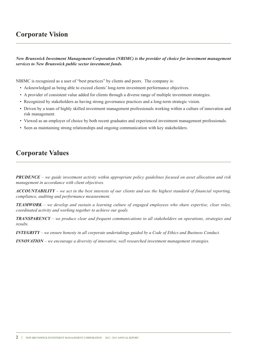### **Corporate Vision**

*New Brunswick Investment Management Corporation (NBIMC) is the provider of choice for investment management services to New Brunswick public sector investment funds.*

NBIMC is recognized as a user of "best practices" by clients and peers. The company is:

- Acknowledged as being able to exceed clients' long-term investment performance objectives.
- A provider of consistent value added for clients through a diverse range of multiple investment strategies.
- Recognized by stakeholders as having strong governance practices and a long-term strategic vision.
- Driven by a team of highly skilled investment management professionals working within a culture of innovation and risk management.
- Viewed as an employer of choice by both recent graduates and experienced investment management professionals.
- Seen as maintaining strong relationships and ongoing communication with key stakeholders.

### **Corporate Values**

**PRUDENCE** – we guide investment activity within appropriate policy guidelines focused on asset allocation and risk *management in accordance with client objectives.*

 $ACCOUNTABILITY - we act in the best interests of our clients and use the highest standard of financial reporting,$ *compliance, auditing and performance measurement.*

**TEAMWORK** – we develop and sustain a learning culture of engaged employees who share expertise, clear roles, *coordinated activity and working together to achieve our goals.*

*TRANSPARENCY – we produce clear and frequent communications to all stakeholders on operations, strategies and results.*

 $INTEGRITY$  – we ensure honesty in all corporate undertakings guided by a Code of Ethics and Business Conduct.

*INNOVATION – we encourage a diversity of innovative, well researched investment management strategies.*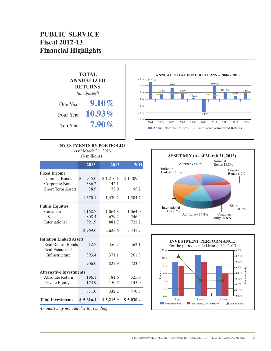### **PUBLIC SERVICE Fiscal 2012-13 Financial Highlights**



#### **INVESTMENTS BY PORTFOLIO**

As of March 31, 2013

(\$ millions)

|                                | 2013        | 2012      | 2011      |
|--------------------------------|-------------|-----------|-----------|
| <b>Fixed Income</b>            |             |           |           |
| <b>Nominal Bonds</b>           | S.<br>945.0 | \$1,210.1 | \$1,409.5 |
| Corporate Bonds                | 386.2       | 142.1     |           |
| <b>Short Term Assets</b>       | 38.9        | 78.0      | 95.2      |
|                                | 1,370.1     | 1,430.2   | 1,504.7   |
| <b>Public Equities</b>         |             |           |           |
| Canadian                       | 1,168.7     | 1,064.8   | 1,064.0   |
| US                             | 808.4       | 679.2     | 546.4     |
| International                  | 991.9       | 881.7     | 721.2     |
|                                | 2,969.0     | 2,625.6   | 2,331.7   |
| <b>Inflation Linked Assets</b> |             |           |           |
| <b>Real Return Bonds</b>       | 512.7       | 456.7     | 462.1     |
| Real Estate and                |             |           |           |
| Infrastructure                 | 393.4       | 371.1     | 261.3     |
|                                | 906.0       | 827.9     | 723.4     |
| <b>Alternative Investments</b> |             |           |           |
| Absolute Return                | 196.1       | 181.6     | 325.6     |
| Private Equity                 | 174.9       | 150.7     | 145.0     |
|                                | 371.0       | 332.2     | 470.7     |
| <b>Total Investments</b>       | \$ 5,616.1  | \$5,215.9 | \$5,030.4 |





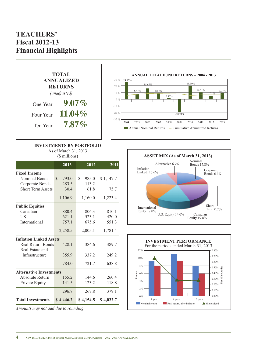### **TEACHERS' Fiscal 2012-13 Financial Highlights**



#### **INVESTMENTS BY PORTFOLIO** As of March 31, 2013

(\$ millions)

|                                | 2013                   | 2012         | 2011      |
|--------------------------------|------------------------|--------------|-----------|
| <b>Fixed Income</b>            |                        |              |           |
| Nominal Bonds                  | $\mathcal{S}$<br>793.0 | \$.<br>985.0 | \$1,147.7 |
| Corporate Bonds                | 283.5                  | 113.2        |           |
| <b>Short Term Assets</b>       | 30.4                   | 61.8         | 75.7      |
|                                | 1,106.9                | 1,160.0      | 1,223.4   |
| <b>Public Equities</b>         |                        |              |           |
| Canadian                       | 880.4                  | 806.3        | 810.1     |
| US                             | 621.1                  | 523.1        | 420.0     |
| <b>International</b>           | 757.1                  | 675.6        | 551.3     |
|                                | 2,258.5                | 2,005.1      | 1,781.4   |
| <b>Inflation Linked Assets</b> |                        |              |           |
| Real Return Bonds              | 428.1                  | 384.6        | 389.7     |
| Real Estate and                |                        |              |           |
| Infrastructure                 | 355.9                  | 337.2        | 249.2     |
|                                | 784.0                  | 721.7        | 638.8     |
| <b>Alternative Investments</b> |                        |              |           |
| Absolute Return                | 155.2                  | 144.6        | 260.4     |
| Private Equity                 | 141.5                  | 123.2        | 118.8     |
|                                | 296.7                  | 267.8        | 379.1     |
| <b>Total Investments</b>       | \$4,446.2              | \$4,154.5    | \$4,022.7 |

*Amounts may not add due to rounding*



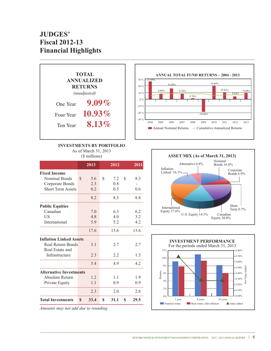### **JUDGES' Fiscal 2012-13 Financial Highlights**



#### **INVESTMENTS BY PORTFOLIO**

As of March 31, 2013

|  |  | (\$ millions) |
|--|--|---------------|
|--|--|---------------|

|                                |     | 2013 |    | 2012 | 2011       |
|--------------------------------|-----|------|----|------|------------|
| <b>Fixed Income</b>            |     |      |    |      |            |
| Nominal Bonds                  | \$. | 5.6  | S  | 7.2  | \$<br>8.3  |
| Corporate Bonds                |     | 2.3  |    | 0.8  |            |
| <b>Short Term Assets</b>       |     | 0.2  |    | 0.5  | 0.6        |
|                                |     | 8.2  |    | 8.5  | 8.8        |
| <b>Public Equities</b>         |     |      |    |      |            |
| Canadian                       |     | 7.0  |    | 6.3  | 6.2        |
| US                             |     | 4.8  |    | 4.0  | 3.2        |
| International                  |     | 5.9  |    | 5.2  | 4.2        |
|                                |     | 17.6 |    | 15.6 | 13.6       |
| <b>Inflation Linked Assets</b> |     |      |    |      |            |
| Real Return Bonds              |     | 3.1  |    | 2.7  | 2.7        |
| Real Estate and                |     |      |    |      |            |
| Infrastructure                 |     | 2.3  |    | 2.2  | 1.5        |
|                                |     | 5.4  |    | 4.9  | 4.2        |
| <b>Alternative Investments</b> |     |      |    |      |            |
| Absolute Return                |     | 1.2  |    | 1.1  | 1.9        |
| Private Equity                 |     | 1.1  |    | 0.9  | 0.9        |
|                                |     | 2.3  |    | 2.0  | 2.8        |
| <b>Total Investments</b>       | \$  | 33.4 | \$ | 31.1 | \$<br>29.5 |

*Amounts may not add due to rounding*



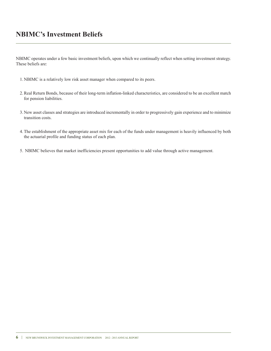### **NBIMC's Investment Beliefs**

NBIMC operates under a few basic investment beliefs, upon which we continually reflect when setting investment strategy. These beliefs are:

- 1. NBIMC is a relatively low risk asset manager when compared to its peers.
- 2.Real Return Bonds, because of their long-term inflation-linked characteristics, are considered to be an excellent match for pension liabilities.
- 3. New asset classes and strategies are introduced incrementally in order to progressively gain experience and to minimize transition costs.
- 4.The establishment of the appropriate asset mix for each of the funds under management is heavily influenced by both the actuarial profile and funding status of each plan.
- 5. NBIMC believes that market inefficiencies present opportunities to add value through active management.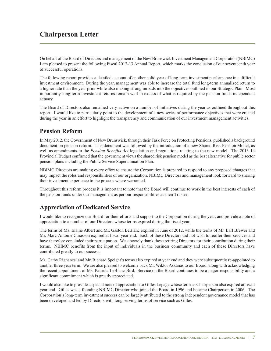### **Chairperson Letter**

On behalf of the Board of Directors and management of the New Brunswick Investment Management Corporation (NBIMC) I am pleased to present the following Fiscal 2012-13 Annual Report, which marks the conclusion of our seventeenth year of successful operations.

The following report provides a detailed account of another solid year of long-term investment performance in a difficult investment environment. During the year, management was able to increase the total fund long-term annualized return to a higher rate than the year prior while also making strong inroads into the objectives outlined in our Strategic Plan. Most importantly long-term investment returns remain well in excess of what is required by the pension funds independent actuary.

The Board of Directors also remained very active on a number of initiatives during the year as outlined throughout this report. I would like to particularly point to the development of a new series of performance objectives that were created during the year in an effort to highlight the transparency and communication of our investment management activities.

### **Pension Reform**

In May 2012, the Government of New Brunswick, through their Task Force on Protecting Pensions, published a background document on pension reform. This document was followed by the introduction of a new Shared Risk Pension Model, as well as amendments to the *Pension Benefits Act* legislation and regulations relating to the new model. The 2013-14 Provincial Budget confirmed that the government views the shared risk pension model as the best alternative for public sector pension plans including the Public Service Superannuation Plan.

NBIMC Directors are making every effort to ensure the Corporation is prepared to respond to any proposed changes that may impact the roles and responsibilities of our organization. NBIMC Directors and management look forward to sharing their investment experience to the process where warranted.

Throughout this reform process it is important to note that the Board will continue to work in the best interests of each of the pension funds under our management as per our responsibilities as their Trustee.

### **Appreciation of Dedicated Service**

I would like to recognize our Board for their efforts and support to the Corporation during the year, and provide a note of appreciation to a number of our Directors whose terms expired during the fiscal year.

The terms of Ms. Elaine Albert and Mr. Gaston LeBlanc expired in June of 2012, while the terms of Mr. Earl Brewer and Mr. Marc-Antoine Chiasson expired at fiscal year end. Each of these Directors did not wish to reoffer their services and have therefore concluded their participation. We sincerely thank these retiring Directors for their contribution during their terms. NBIMC benefits from the input of individuals in the business community and each of these Directors have contributed greatly to our success.

Ms. Cathy Rignanesi and Mr. Richard Speight's terms also expired at year end and they were subsequently re-appointed to another three year term. We are also pleased to welcome back Mr. Wiktor Askanas to our Board, along with acknowledging the recent appointment of Ms. Patricia LeBlanc-Bird. Service on the Board continues to be a major responsibility and a significant commitment which is greatly appreciated.

I would also like to provide a special note of appreciation to Gilles Lepage whose term as Chairperson also expired at fiscal year end. Gilles was a founding NBIMC Director who joined the Board in 1996 and became Chairperson in 2006. The Corporation's long-term investment success can be largely attributed to the strong independent governance model that has been developed and led by Directors with long serving terms of service such as Gilles.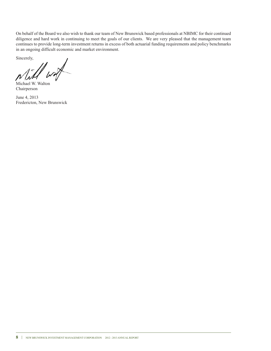On behalf of the Board we also wish to thank our team of New Brunswick based professionals at NBIMC for their continued diligence and hard work in continuing to meet the goals of our clients. We are very pleased that the management team continues to provide long-term investment returns in excess of both actuarial funding requirements and policy benchmarks in an ongoing difficult economic and market environment.

Sincerely,

Michael W. Walton Chairperson

June 4, 2013 Fredericton, New Brunswick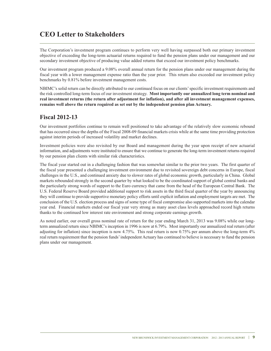### **CEO Letter to Stakeholders**

The Corporation's investment program continues to perform very well having surpassed both our primary investment objective of exceeding the long-term actuarial returns required to fund the pension plans under our management and our secondary investment objective of producing value added returns that exceed our investment policy benchmarks.

Our investment program produced a 9.08% overall annual return for the pension plans under our management during the fiscal year with a lower management expense ratio than the year prior. This return also exceeded our investment policy benchmarks by 0.81% before investment management costs.

NBIMC's solid return can be directly attributed to our continued focus on our clients'specific investment requirements and the risk controlled long-term focus of our investment strategy. **Most importantly our annualized long term nominal and real investment returns (the return after adjustment for inflation), and after all investment management expenses, remains well above the return required as set out by the independent pension plan Actuary.**

### **Fiscal 2012-13**

Our investment portfolios continue to remain well positioned to take advantage of the relatively slow economic rebound that has occurred since the depths of the Fiscal 2008-09 financial markets crisis while at the same time providing protection against interim periods of increased volatility and market declines.

Investment policies were also revisited by our Board and management during the year upon receipt of new actuarial information, and adjustments were instituted to ensure that we continue to generate the long-term investment returns required by our pension plan clients with similar risk characteristics.

The fiscal year started out in a challenging fashion that was somewhat similar to the prior two years. The first quarter of the fiscal year presented a challenging investment environment due to revisited sovereign debt concerns in Europe, fiscal challenges in the U.S., and continued anxiety due to slower rates of global economic growth, particularly in China. Global markets rebounded strongly in the second quarter by what looked to be the coordinated support of global central banks and the particularly strong words of support to the Euro currency that came from the head of the European Central Bank. The U.S. Federal Reserve Board provided additional support to risk assets in the third fiscal quarter of the year by announcing they will continue to provide supportive monetary policy efforts until explicit inflation and employment targets are met. The conclusion of the U.S. election process and signs of some type of fiscal compromise also supported markets into the calendar year end. Financial markets ended our fiscal year very strong as many asset class levels approached record high returns thanks to the continued low interest rate environment and strong corporate earnings growth.

As noted earlier, our overall gross nominal rate of return for the year ending March 31, 2013 was 9.08% while our longterm annualized return since NBIMC's inception in 1996 is now at 6.79%. Most importantly our annualized real return (after adjusting for inflation) since inception is now 4.75%. This real return is now 0.75% per annum above the long-term 4% real return requirement that the pension funds'independent Actuary has continued to believe is necessary to fund the pension plans under our management.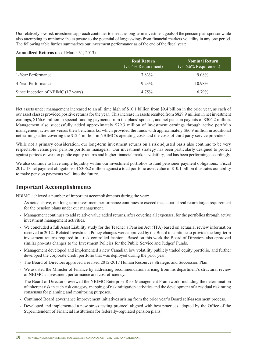Our relatively low risk investment approach continuesto meet the long-term investment goals of the pension plan sponsor while also attempting to minimize the exposure to the potential of large swings from financial markets volatility in any one period. The following table further summarizes our investment performance as of the end of the fiscal year:

#### **Annualized Returns** (as of March 31, 2013)

|                                     | <b>Real Return</b><br>$(vs. 4\%$ Requirement) | Nominal Return<br>$(vs. 6.6\%$ Requirement) |
|-------------------------------------|-----------------------------------------------|---------------------------------------------|
| 1-Year Performance                  | 7.83%                                         | 9.08%                                       |
| 4-Year Performance                  | $9.23\%$                                      | $10.98\%$                                   |
| Since Inception of NBIMC (17 years) | $4.75\%$                                      | $6.79\%$                                    |

Net assets under management increased to an all time high of \$10.1 billion from \$9.4 billion in the prior year, as each of our asset classes provided positive returns for the year. This increase in assets resulted from \$829.9 million in net investment earnings, \$166.6 million in special funding payments from the plans'sponsor, and net pension payouts of \$306.2 million. Management also successfully added approximately \$79.3 million of investment earnings through active portfolio management activities versus their benchmarks, which provided the funds with approximately \$66.9 million in additional net earnings after covering the \$12.4 million in NBIMC's operating costs and the costs of third party service providers.

While not a primary consideration, our long-term investment returns on a risk adjusted basis also continue to be very respectable versus peer pension portfolio managers. Our investment strategy has been particularly designed to protect against periods of weaker public equity returns and higher financial markets volatility, and has been performing accordingly.

We also continue to have ample liquidity within our investment portfolios to fund pensioner payment obligations. Fiscal 2012-13 net payment obligations of \$306.2 million against a total portfolio asset value of \$10.1 billion illustrates our ability to make pension payments well into the future.

### **Important Accomplishments**

NBIMC achieved a number of important accomplishments during the year:

- As noted above, our long-term investment performance continues to exceed the actuarial real return target requirement for the pension plans under our management.
- Management continues to add relative value added returns, after covering all expenses, for the portfolios through active investment management activities.
- We concluded a full Asset Liability study for the Teacher's Pension Act (TPA) based on actuarial review information received in 2012. Related Investment Policy changes were approved by the Board to continue to provide the long-term investment returns required in a risk controlled fashion. Based on this work the Board of Directors also approved similar pro-rata changes to the Investment Policies for the Public Service and Judges' Funds.
- Management developed and implemented a new Canadian low volatility publicly traded equity portfolio, and further developed the corporate credit portfolio that was deployed during the prior year.
- The Board of Directors approved a revised 2012-2017 Human Resources Strategic and Succession Plan.
- We assisted the Minister of Finance by addressing recommendations arising from his department's structural review of NBIMC's investment performance and cost efficiency.
- The Board of Directors reviewed the NBIMC Enterprise Risk Management Framework, including the determination of inherent risk in each risk category, mapping of risk mitigation activities and the development of a residual risk rating consensus for planning and monitoring purposes.
- Continued Board governance improvement initiatives arising from the prior year's Board self-assessment process.
- Developed and implemented a new stress testing protocol aligned with best practices adopted by the Office of the Superintendent of Financial Institutions for federally-regulated pension plans.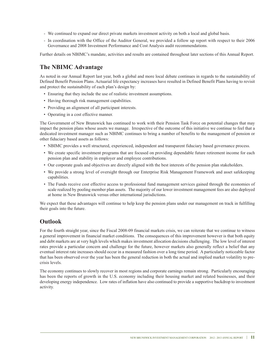- We continued to expand our direct private markets investment activity on both a local and global basis.
- In coordination with the Office of the Auditor General, we provided a follow up report with respect to their 2006 Governance and 2008 Investment Performance and Cost Analysis audit recommendations.

Further details on NBIMC's mandate, activities and results are contained throughout later sections of this Annual Report.

### **The NBIMC Advantage**

As noted in our Annual Report last year, both a global and more local debate continues in regards to the sustainability of Defined Benefit Pension Plans. Actuarial life expectancy increases have resulted in Defined Benefit Plans having to revisit and protect the sustainability of each plan's design by:

- Ensuring that they include the use of realistic investment assumptions.
- Having thorough risk management capabilities.
- Providing an alignment of all participant interests.
- Operating in a cost effective manner.

The Government of New Brunswick has continued to work with their Pension Task Force on potential changes that may impact the pension plans whose assets we manage. Irrespective of the outcome of this initiative we continue to feel that a dedicated investment manager such as NBIMC continues to bring a number of benefits to the management of pension or other fiduciary based assets as follows:

- NBIMC provides a well structured, experienced, independent and transparent fiduciary based governance process.
- We create specific investment programs that are focused on providing dependable future retirement income for each pension plan and stability in employer and employee contributions.
- Our corporate goals and objectives are directly aligned with the best interests of the pension plan stakeholders.
- We provide a strong level of oversight through our Enterprise Risk Management Framework and asset safekeeping capabilities.
- The Funds receive cost effective access to professional fund management services gained through the economies of scale realized by pooling member plan assets. The majority of our lower investment management fees are also deployed at home in New Brunswick versus other international jurisdictions.

We expect that these advantages will continue to help keep the pension plans under our management on track in fulfilling their goals into the future.

#### **Outlook**

For the fourth straight year, since the Fiscal 2008-09 financial markets crisis, we can reiterate that we continue to witness a general improvement in financial market conditions. The consequences of this improvement however is that both equity and debt markets are at very high levels which makes investment allocation decisions challenging. The low level of interest rates provide a particular concern and challenge for the future, however markets also generally reflect a belief that any eventual interest rate increases should occur in a measured fashion over a long time period. A particularly noticeable factor that has been observed over the year has been the general reduction in both the actual and implied market volatility to precrisis levels.

The economy continues to slowly recover in most regions and corporate earnings remain strong. Particularly encouraging has been the reports of growth in the U.S. economy including their housing market and related businesses, and their developing energy independence. Low rates of inflation have also continued to provide a supportive backdrop to investment activity.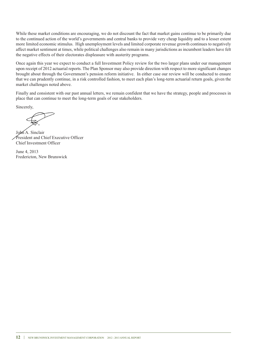While these market conditions are encouraging, we do not discount the fact that market gains continue to be primarily due to the continued action of the world's governments and central banks to provide very cheap liquidity and to a lesser extent more limited economic stimulus. High unemployment levels and limited corporate revenue growth continues to negatively affect market sentiment at times, while political challenges also remain in many jurisdictions as incumbent leaders have felt the negative effects of their electorates displeasure with austerity programs.

Once again this year we expect to conduct a full Investment Policy review for the two larger plans under our management upon receipt of 2012 actuarial reports. The Plan Sponsor may also provide direction with respect to more significant changes brought about through the Government's pension reform initiative. In either case our review will be conducted to ensure that we can prudently continue, in a risk controlled fashion, to meet each plan's long-term actuarial return goals, given the market challenges noted above.

Finally and consistent with our past annual letters, we remain confident that we have the strategy, people and processes in place that can continue to meet the long-term goals of our stakeholders.

Sincerely,

John A. Sinclair President and Chief Executive Officer Chief Investment Officer

June 4, 2013 Fredericton, New Brunswick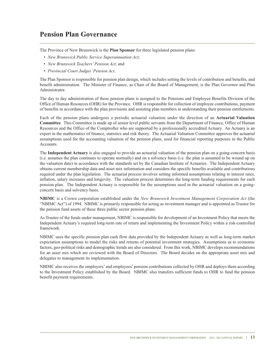### **Pension Plan Governance**

The Province of New Brunswick is the **Plan Sponsor** for three legislated pension plans:

- *New Brunswick Public Service Superannuation Act*;
- *New Brunswick Teachers'Pension Act*; and
- *Provincial Court Judges'Pension Act*.

The Plan Sponsor is responsible for pension plan design, which includes setting the levels of contribution and benefits, and benefit administration. The Minister of Finance, as Chair of the Board of Management, is the Plan Governor and Plan Administrator.

The day to day administration of these pension plans is assigned to the Pensions and Employee Benefits Division of the Office of Human Resources (OHR) for the Province. OHR is responsible for collection of employee contributions, payment of benefits in accordance with the plan provisions and assisting plan members in understanding their pension entitlements.

Each of the pension plans undergoes a periodic actuarial valuation under the direction of an **Actuarial Valuation Committee**. This Committee is made up of senior level public servants from the Department of Finance, Office of Human Resources and the Office of the Comptroller who are supported by a professionally accredited Actuary. An Actuary is an expert in the mathematics of finance, statistics and risk theory. The Actuarial Valuation Committee approves the actuarial assumptions used for the accounting valuation of the pension plans, used for financial reporting purposes in the Public Accounts.

The **Independent Actuary** is also engaged to provide an actuarial valuation of the pension plan on a going-concern basis (i.e. assumes the plan continues to operate normally) and on a solvency basis (i.e. the plan is assumed to be wound up on the valuation date) in accordance with the standards set by the Canadian Institute of Actuaries. The Independent Actuary obtains current membership data and asset mix information and considers the specific benefits available and contributions required under the plan legislation. The actuarial process involves setting informed assumptions relating to interest rates, inflation, salary increases and longevity. The valuation process determines the long-term funding requirements for each pension plan. The Independent Actuary is responsible for the assumptions used in the actuarial valuation on a goingconcern basis and solvency basis.

**NBIMC** is a Crown corporation established under the *New Brunswick Investment Management Corporation Act* (the "NBIMC Act") of 1994. NBIMC is primarily responsible for acting as investment manager and is appointed as Trustee for the pension fund assets of these three public sector pension plans.

As Trustee of the funds under management, NBIMC is responsible for development of an Investment Policy that meets the Independent Actuary's required long-term rate of return and implementing the Investment Policy within a risk-controlled framework.

NBIMC uses the specific pension plan cash flow data provided by the Independent Actuary as well as long-term market expectation assumptions to model the risks and returns of potential investment strategies. Assumptions as to economic factors, geo-political risks and demographic trends are also considered. From this work, NBIMC develops recommendations for an asset mix which are reviewed with the Board of Directors. The Board decides on the appropriate asset mix and delegates to management its implementation.

NBIMC also receives the employers' and employees' pension contributions collected by OHR and deploys them according to the Investment Policy established by the Board. NBIMC also transfers sufficient funds to OHR to fund the pension benefit payment requirements.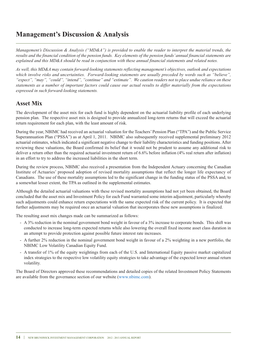### **Management's Discussion & Analysis**

Management's Discussion & Analysis ("MD&A") is provided to enable the reader to interpret the material trends, the results and the financial condition of the pension funds. Key elements of the pension funds' annual financial statements are explained and this MD&A should be read in conjunction with these annual financial statements and related notes.

*As well, this MD&A may contain forward-looking statements reflecting management's objectives, outlook and expectations which involve risks and uncertainties. Forward-looking statements are usually preceded by words such as "believe",* "expect", "may", "could", "intend", "continue" and "estimate". We caution readers not to place undue reliance on these statements as a number of important factors could cause our actual results to differ materially from the expectations *expressed in such forward-looking statements.*

### **Asset Mix**

The development of the asset mix for each fund is highly dependent on the actuarial liability profile of each underlying pension plan. The respective asset mix is designed to provide annualized long-term returns that will exceed the actuarial return requirement for each plan, with the least amount of risk.

During the year, NBIMC had received an actuarial valuation for the Teachers'Pension Plan ("TPA") and the Public Service Superannuation Plan ("PSSA") as at April 1, 2011. NBIMC also subsequently received supplemental preliminary 2012 actuarial estimates, which indicated a significant negative change to their liability characteristics and funding positions. After reviewing these valuations, the Board confirmed its belief that it would not be prudent to assume any additional risk to deliver a return other than the required actuarial investment return of 6.6% before inflation (4% real return after inflation) in an effort to try to address the increased liabilities in the short term.

During the review process, NBIMC also received a presentation from the Independent Actuary concerning the Canadian Institute of Actuaries' proposed adoption of revised mortality assumptions that reflect the longer life expectancy of Canadians. The use of these mortality assumptions led to the significant change in the funding status of the PSSA and, to a somewhat lesser extent, the TPA as outlined in the supplemental estimates.

Although the detailed actuarial valuations with these revised mortality assumptions had not yet been obtained, the Board concluded that the asset mix and Investment Policy for each Fund warranted some interim adjustment, particularly whereby such adjustments could enhance return expectations with the same expected risk of the current policy. It is expected that further adjustments may be required once an actuarial valuation that incorporates these new assumptions is finalized.

The resulting asset mix changes made can be summarized as follows:

- A 3% reduction in the nominal government bond weight in favour of a 3% increase to corporate bonds. This shift was conducted to increase long-term expected returns while also lowering the overall fixed income asset class duration in an attempt to provide protection against possible future interest rate increases.
- A further 2% reduction in the nominal government bond weight in favour of a 2% weighting in a new portfolio, the NBIMC Low Volatility Canadian Equity Fund.
- A transfer of 1% of the equity weightings from each of the U.S. and International Equity passive market capitalized index strategies to the respective low volatility equity strategies to take advantage of the expected lower annual return volatility.

The Board of Directors approved these recommendations and detailed copies of the related Investment Policy Statements are available from the governance section of our website (www.nbimc.com).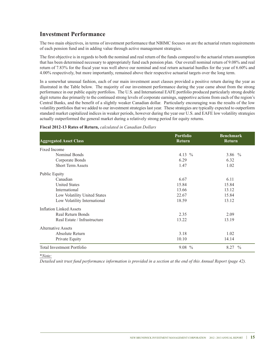### **Investment Performance**

The two main objectives, in terms of investment performance that NBIMC focuses on are the actuarial return requirements of each pension fund and in adding value through active management strategies.

The first objective is in regards to both the nominal and real return of the funds compared to the actuarial return assumption that has been determined necessary to appropriately fund each pension plan. Our overall nominal return of 9.08% and real return of 7.83% for the fiscal year was well above our nominal and real return actuarial hurdles for the year of 6.60% and 4.00% respectively, but more importantly, remained above their respective actuarial targets over the long term.

In a somewhat unusual fashion, each of our main investment asset classes provided a positive return during the year as illustrated in the Table below. The majority of our investment performance during the year came about from the strong performance in our public equity portfolios. The U.S. and International EAFE portfolio produced particularly strong double digit returns due primarily to the continued strong levels of corporate earnings, supportive actions from each of the region's Central Banks, and the benefit of a slightly weaker Canadian dollar. Particularly encouraging was the results of the low volatility portfolios that we added to our investment strategies last year. These strategies are typically expected to outperform standard market capitalized indices in weaker periods, however during the year our U.S. and EAFE low volatility strategies actually outperformed the general market during a relatively strong period for equity returns.

| <b>Aggregated Asset Class</b>     | <b>Portfolio</b><br><b>Return</b> | <b>Benchmark</b><br><b>Return</b> |
|-----------------------------------|-----------------------------------|-----------------------------------|
| Fixed Income                      |                                   |                                   |
| Nominal Bonds                     | 4.13 $%$                          | 3.86 $%$                          |
| Corporate Bonds                   | 6.29                              | 6.32                              |
| <b>Short Term Assets</b>          | 1.47                              | 1.02                              |
| Public Equity                     |                                   |                                   |
| Canadian                          | 6.67                              | 6.11                              |
| <b>United States</b>              | 15.84                             | 15.84                             |
| International                     | 13.66                             | 13.12                             |
| Low Volatility United States      | 22.67                             | 15.84                             |
| Low Volatility International      | 18.59                             | 13.12                             |
| <b>Inflation Linked Assets</b>    |                                   |                                   |
| Real Return Bonds                 | 2.35                              | 2.09                              |
| Real Estate / Infrastructure      | 13.22                             | 13.19                             |
| Alternative Assets                |                                   |                                   |
| Absolute Return                   | 3.18                              | 1.02                              |
| Private Equity                    | 10.10                             | 14.14                             |
| <b>Total Investment Portfolio</b> | $9.08\%$                          | 8.27<br>$\%$                      |

#### **Fiscal 2012-13 Rates of Return,** *calculated in Canadian Dollars*

*\*Note:*

Detailed unit trust fund performance information is provided in a section at the end of this Annual Report (page 42).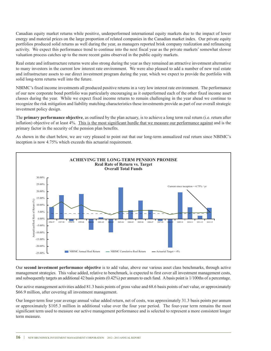Canadian equity market returns while positive, underperformed international equity markets due to the impact of lower energy and material prices on the large proportion of related companies in the Canadian market index. Our private equity portfolios produced solid returns as well during the year, as managers reported brisk company realization and refinancing activity. We expect this performance trend to continue into the next fiscal year as the private markets' somewhat slower valuation process catches up to the more recent gains observed in the public equity markets.

Real estate and infrastructure returns were also strong during the year as they remained an attractive investment alternative to many investors in the current low interest rate environment. We were also pleased to add a number of new real estate and infrastructure assets to our direct investment program during the year, which we expect to provide the portfolio with solid long-term returns well into the future.

NBIMC's fixed income investments all produced positive returns in a very low interest rate environment. The performance of our new corporate bond portfolio was particularly encouraging as it outperformed each of the other fixed income asset classes during the year. While we expect fixed income returns to remain challenging in the year ahead we continue to recognize the risk mitigation and liability matching characteristics these investments provide as part of our overall strategic investment policy design.

The **primary performance objective**, as outlined by the plan actuary, is to achieve a long term real return (i.e. return after inflation) objective of at least 4%. This is the most significant hurdle that we measure our performance against and is the primary factor in the security of the pension plan benefits.

As shown in the chart below, we are very pleased to point out that our long-term annualized real return since NBIMC's inception is now 4.75% which exceeds this actuarial requirement.



Our **second investment performance objective** is to add value, above our various asset class benchmarks, through active management strategies. This value added, relative to benchmark, is expected to first cover all investment management costs, and subsequently targets an additional 42 basis points(0.42%) per annum to each fund. Abasis point is 1/100ths of a percentage.

Our active management activities added 81.3 basis points of gross value and 68.6 basis points of net value, or approximately \$66.9 million, after covering all investment management.

Our longer-term four year average annual value added return, net of costs, was approximately 31.3 basis points per annum or approximately \$105.3 million in additional value over the four year period. The four-year term remains the most significant term used to measure our active management performance and is selected to represent a more consistent longer term measure.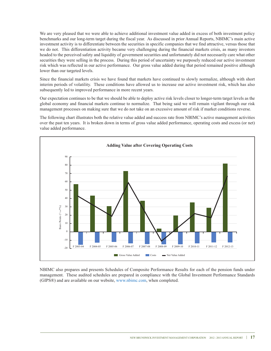We are very pleased that we were able to achieve additional investment value added in excess of both investment policy benchmarks and our long-term target during the fiscal year. As discussed in prior Annual Reports, NBIMC's main active investment activity is to differentiate between the securities in specific companies that we find attractive, versus those that we do not. This differentiation activity became very challenging during the financial markets crisis, as many investors headed to the perceived safety and liquidity of government securities and unfortunately did not necessarily care what other securities they were selling in the process. During this period of uncertainty we purposely reduced our active investment risk which was reflected in our active performance. Our gross value added during that period remained positive although lower than our targeted levels.

Since the financial markets crisis we have found that markets have continued to slowly normalize, although with short interim periods of volatility. These conditions have allowed us to increase our active investment risk, which has also subsequently led to improved performance in more recent years.

Our expectation continues to be that we should be able to deploy active risk levels closer to longer-term target levels as the global economy and financial markets continue to normalize. That being said we will remain vigilant through our risk management processes on making sure that we do not take on an excessive amount of risk if market conditions reverse.

The following chart illustrates both the relative value added and success rate from NBIMC's active management activities over the past ten years. It is broken down in terms of gross value added performance, operating costs and excess (or net) value added performance.



NBIMC also prepares and presents Schedules of Composite Performance Results for each of the pension funds under management. These audited schedules are prepared in compliance with the Global Investment Performance Standards (GIPS®) and are available on our website, www.nbimc.com, when completed.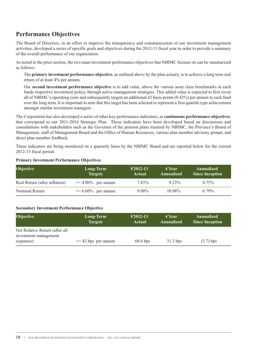### **Performance Objectives**

The Board of Directors, in an effort to improve the transparency and communication of our investment management activities, developed a series of specific goals and objectives during the 2012-13 fiscal year in order to provide a summary of the overall performance of our organization.

As noted in the prior section, the two main investment performance objectives that NBIMC focuses on can be summarized as follows:

The **primary investment performance objective**, as outlined above by the plan actuary, is to achieve a long term real return of at least 4% per annum.

Our **second investment performance objective** is to add value, above the various asset class benchmarks in each funds respective investment policy, through active management strategies. This added value is expected to first cover all of NBIMC's operating costs and subsequently targets an additional 42 basis points (0.42%) per annum to each fund over the long term. It is important to note that this target has been selected to represent a first quartile type achievement amongst similar investment managers.

The Corporation has also developed a series of other key performance indicators, as **continuous performance objectives**, that correspond to our 2011-2016 Strategic Plan. These indicators have been developed based on discussions and consultations with stakeholders such as the Governor of the pension plans trusteed by NBIMC, the Province's Board of Management, staff of Management Board and the Office of Human Resources, various plan member advisory groups, and direct plan member feedback.

These indicators are being monitored on a quarterly basis by the NBIMC Board and are reported below for the current 2012-13 fiscal period.

| <b>Objective</b>              | Long-Term<br><b>Targets</b> | F <sub>2012</sub> -13<br>Actual | ' 4 Year.<br>Annualized | Annualized<br><b>Since Inception</b> |
|-------------------------------|-----------------------------|---------------------------------|-------------------------|--------------------------------------|
| Real Return (after inflation) | $\geq 4.00\%$ per annum     | 7.83%                           | $9.23\%$                | 4.75%                                |
| Nominal Return                | $\geq 6.60\%$ per annum     | $9.08\%$                        | 10.98%                  | $6.79\%$                             |

#### **Primary Investment Performance Objectives**

#### **Secondary Investment Performance Objective**

| Objective                                               | Long-Term<br><b>Targets</b> | F2012-13<br><b>Actual</b> | 4 Year<br>Annualized | Annualized<br><b>Since Inception</b> |
|---------------------------------------------------------|-----------------------------|---------------------------|----------------------|--------------------------------------|
| Net Relative Return (after all<br>investment management |                             |                           |                      |                                      |
| expenses)                                               | $>= 42$ bps per annum       | $68.6$ bps                | $31.3$ bps           | $(3.7)$ bps                          |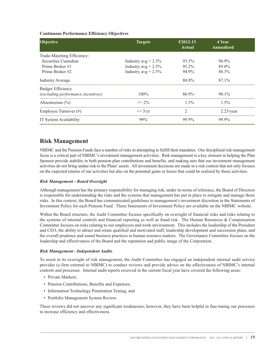#### **Continuous Performance Efficiency Objectives**

| Objective                              | <b>Targets</b>         | F2012-13<br><b>Actual</b> | 4 Year<br><b>Annualized</b> |
|----------------------------------------|------------------------|---------------------------|-----------------------------|
| Trade-Matching Efficiency:             |                        |                           |                             |
| Securities Custodian                   | Industry $avg + 2.5\%$ | 93.5%                     | 90.9%                       |
| Prime Broker #1                        | Industry $avg + 2.5\%$ | 95.2%                     | 89.0%                       |
| Prime Broker #2                        | Industry $avg + 2.5\%$ | 94.9%                     | 88.3%                       |
| <b>Industry Average</b>                |                        | 88.8%                     | 87.1%                       |
| <b>Budget Efficiency</b>               |                        |                           |                             |
| (excluding performance incentives)     | $100\%$                | 86.9%                     | $90.1\%$                    |
| Absenteeism $\left(\frac{0}{0}\right)$ | $\leq$ 2%              | $1.3\%$                   | $1.5\%$                     |
| Employee Turnover $(\#)$               | $\leq$ 3/yr            | $\overline{2}$            | $2.25$ /year                |
| IT System Availability                 | 99%                    | 99.9%                     | 99.9%                       |

### **Risk Management**

NBIMC and the Pension Funds face a number of risks in attempting to fulfill their mandates. Our disciplined risk management focus is a critical part of NBIMC's investment management activities. Risk management is a key element in helping the Plan Sponsor provide stability in both pension plan contributions and benefits, and making sure that our investment management activities do not bring undue risk to the Plans' assets. All investment decisions are made in a risk context that not only focuses on the expected returns of our activities but also on the potential gains or losses that could be realized by those activities.

#### *Risk Management - Board Oversight*

Although management has the primary responsibility for managing risk, under its terms of reference, the Board of Directors is responsible for understanding the risks and the systems that management has put in place to mitigate and manage those risks. In this context, the Board has communicated guidelines to management's investment discretion in the Statements of Investment Policy for each Pension Fund. These Statements of Investment Policy are available on the NBIMC website.

Within the Board structure, the Audit Committee focuses specifically on oversight of financial risks and risks relating to the systems of internal controls and financial reporting as well as fraud risk. The Human Resources & Compensation Committee focuses on risks relating to our employees and work environment. This includes the leadership of the President and CEO, the ability to attract and retain qualified and motivated staff, leadership development and succession plans, and the overall prudence and sound business practices in human resource matters. The Governance Committee focuses on the leadership and effectiveness of the Board and the reputation and public image of the Corporation.

#### *Risk Management - Independent Audits*

To assist in its oversight of risk management, the Audit Committee has engaged an independent internal audit service provider (a firm external to NBIMC) to conduct reviews and provide advice on the effectiveness of NBIMC's internal controls and processes. Internal audit reports received in the current fiscal year have covered the following areas:

- Private Markets;
- Pension Contributions, Benefits and Expenses;
- Information Technology Penetration Testing; and
- Portfolio Management System Review.

These reviews did not uncover any significant weaknesses; however, they have been helpful in fine-tuning our processes to increase efficiency and effectiveness.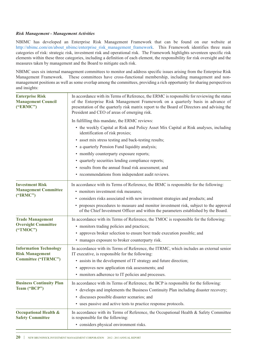#### *Risk Management - Management Activities*

NBIMC has developed an Enterprise Risk Management Framework that can be found on our website at http://nbimc.com/en/about\_nbimc/enterprise\_risk\_management\_framework. This Framework identifies three main categories of risk: strategic risk, investment risk and operational risk. The Framework highlights seventeen specific risk elements within these three categories, including a definition of each element, the responsibility for risk oversight and the measures taken by management and the Board to mitigate each risk.

NBIMC uses six internal management committees to monitor and address specific issues arising from the Enterprise Risk Management Framework. These committees have cross-functional membership, including management and nonmanagement positions as well as some overlap among the committees, providing a rich opportunity for sharing perspectives and insights:

| <b>Enterprise Risk</b><br><b>Management Council</b><br>("ERMC") | In accordance with its Terms of Reference, the ERMC is responsible for reviewing the status<br>of the Enterprise Risk Management Framework on a quarterly basis in advance of<br>presentation of the quarterly risk matrix report to the Board of Directors and advising the<br>President and CEO of areas of emerging risk. |  |  |
|-----------------------------------------------------------------|------------------------------------------------------------------------------------------------------------------------------------------------------------------------------------------------------------------------------------------------------------------------------------------------------------------------------|--|--|
|                                                                 | In fulfilling this mandate, the ERMC reviews:                                                                                                                                                                                                                                                                                |  |  |
|                                                                 | • the weekly Capital at Risk and Policy Asset Mix Capital at Risk analyses, including<br>identification of risk proxies;                                                                                                                                                                                                     |  |  |
|                                                                 | • asset mix stress testing and back-testing results;                                                                                                                                                                                                                                                                         |  |  |
|                                                                 | • a quarterly Pension Fund liquidity analysis;                                                                                                                                                                                                                                                                               |  |  |
|                                                                 | • monthly counterparty exposure reports;                                                                                                                                                                                                                                                                                     |  |  |
|                                                                 | • quarterly securities lending compliance reports;                                                                                                                                                                                                                                                                           |  |  |
|                                                                 | • results from the annual fraud risk assessment; and                                                                                                                                                                                                                                                                         |  |  |
|                                                                 | • recommendations from independent audit reviews.                                                                                                                                                                                                                                                                            |  |  |
| <b>Investment Risk</b><br><b>Management Committee</b>           | In accordance with its Terms of Reference, the IRMC is responsible for the following:<br>• monitors investment risk measures;                                                                                                                                                                                                |  |  |
| ("IRMC")                                                        | • considers risks associated with new investment strategies and products; and                                                                                                                                                                                                                                                |  |  |
|                                                                 | • proposes procedures to measure and monitor investment risk, subject to the approval<br>of the Chief Investment Officer and within the parameters established by the Board.                                                                                                                                                 |  |  |
| <b>Trade Management</b>                                         | In accordance with its Terms of Reference, the TMOC is responsible for the following:                                                                                                                                                                                                                                        |  |  |
| <b>Oversight Committee</b>                                      | • monitors trading policies and practices;                                                                                                                                                                                                                                                                                   |  |  |
| ("TMOC")                                                        | • approves broker selection to ensure best trade execution possible; and                                                                                                                                                                                                                                                     |  |  |
|                                                                 | • manages exposure to broker counterparty risk.                                                                                                                                                                                                                                                                              |  |  |
| <b>Information Technology</b><br><b>Risk Management</b>         | In accordance with its Terms of Reference, the ITRMC, which includes an external senior<br>IT executive, is responsible for the following:                                                                                                                                                                                   |  |  |
| <b>Committee ("ITRMC")</b>                                      | • assists in the development of IT strategy and future direction;                                                                                                                                                                                                                                                            |  |  |
|                                                                 | • approves new application risk assessments; and                                                                                                                                                                                                                                                                             |  |  |
|                                                                 | • monitors adherence to IT policies and processes.                                                                                                                                                                                                                                                                           |  |  |
| <b>Business Continuity Plan</b><br>Team ("BCP")                 | In accordance with its Terms of Reference, the BCP is responsible for the following:<br>• develops and implements the Business Continuity Plan including disaster recovery;                                                                                                                                                  |  |  |
|                                                                 | · discusses possible disaster scenarios; and                                                                                                                                                                                                                                                                                 |  |  |
|                                                                 | • uses passive and active tests to practice response protocols.                                                                                                                                                                                                                                                              |  |  |
| <b>Occupational Health &amp;</b><br><b>Safety Committee</b>     | In accordance with its Terms of Reference, the Occupational Health $\&$ Safety Committee<br>is responsible for the following:                                                                                                                                                                                                |  |  |
|                                                                 | • considers physical environment risks.                                                                                                                                                                                                                                                                                      |  |  |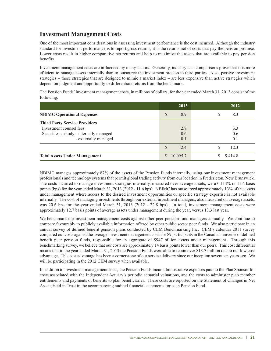### **Investment Management Costs**

One of the most important considerations in assessing investment performance is the cost incurred. Although the industry standard for investment performance is to report gross returns, it is the returns net of costs that pay the pension promise. Lower costs result in higher comparative net returns and help to maximize the assets that are available to pay pension benefits.

Investment management costs are influenced by many factors. Generally, industry cost comparisons prove that it is more efficient to manage assets internally than to outsource the investment process to third parties. Also, passive investment strategies – those strategies that are designed to mimic a market index – are less expensive than active strategies which depend on judgment and opportunity to differentiate returns from the benchmark.

The Pension Funds'investment management costs, in millions of dollars, for the year ended March 31, 2013 consist of the following:

|                                         | 2013                 | 2012      |
|-----------------------------------------|----------------------|-----------|
| <b>NBIMC Operational Expenses</b>       | S<br>8.9             | 8.3<br>S  |
| <b>Third Party Service Providers</b>    |                      |           |
| Investment counsel fees                 | 2.8                  | 3.3       |
| Securities custody - internally managed | 0.6                  | 0.6       |
| - externally managed                    | 0.1                  | 0.1       |
|                                         | <sup>S</sup><br>12.4 | 12.3<br>S |
| <b>Total Assets Under Management</b>    | 10,095.7             | 9,414.8   |

NBIMC manages approximately 87% of the assets of the Pension Funds internally, using our investment management professionals and technology systems that permit global trading activity from our location in Fredericton, New Brunswick. The costs incurred to manage investment strategies internally, measured over average assets, were 0.114% or 11.4 basis points (bps) for the year ended March 31, 2013 (2012 - 11.6 bps). NBIMC has outsourced approximately 13% of the assets under management where access to the desired investment opportunities or specific strategy expertise is not available internally. The cost of managing investments through our external investment managers, also measured on average assets, was 20.6 bps for the year ended March 31, 2013 (2012 - 22.8 bps). In total, investment management costs were approximately 12.7 basis points of average assets under management during the year, versus 13.3 last year.

We benchmark our investment management costs against other peer pension fund managers annually. We continue to compare favourably to publicly available information offered by other public sector peer funds. We also participate in an annual survey of defined benefit pension plans conducted by CEM Benchmarking Inc. CEM's calendar 2011 survey compared our costs against the average investment management costs for 89 participants in the Canadian universe of defined benefit peer pension funds, responsible for an aggregate of \$947 billion assets under management. Through this benchmarking survey, we believe that our costs are approximately 14 basis points lower than our peers. This cost differential means that in the year ended March 31, 2013 the Pension Funds were able to retain over \$13.7 million due to our low cost advantage. This cost advantage has been a cornerstone of our service delivery since our inception seventeen years ago. We will be participating in the 2012 CEM survey when available.

In addition to investment management costs, the Pension Funds incur administrative expenses paid to the Plan Sponsor for costs associated with the Independent Actuary's periodic actuarial valuations, and the costs to administer plan member entitlements and payments of benefits to plan beneficiaries. These costs are reported on the Statement of Changes in Net Assets Held in Trust in the accompanying audited financial statements for each Pension Fund.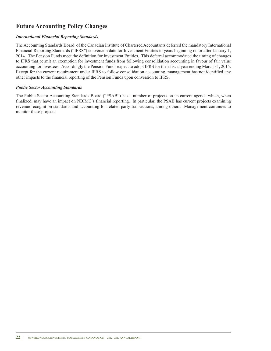### **Future Accounting Policy Changes**

#### *International Financial Reporting Standards*

The Accounting Standards Board of the Canadian Institute of Chartered Accountants deferred the mandatory International Financial Reporting Standards ("IFRS") conversion date for Investment Entities to years beginning on or after January 1, 2014. The Pension Funds meet the definition for Investment Entities. This deferral accommodated the timing of changes to IFRS that permit an exemption for investment funds from following consolidation accounting in favour of fair value accounting for investees. Accordingly the Pension Funds expect to adopt IFRS for their fiscal year ending March 31, 2015. Except for the current requirement under IFRS to follow consolidation accounting, management has not identified any other impacts to the financial reporting of the Pension Funds upon conversion to IFRS.

#### *Public Sector Accounting Standards*

The Public Sector Accounting Standards Board ("PSAB") has a number of projects on its current agenda which, when finalized, may have an impact on NBIMC's financial reporting. In particular, the PSAB has current projects examining revenue recognition standards and accounting for related party transactions, among others. Management continues to monitor these projects.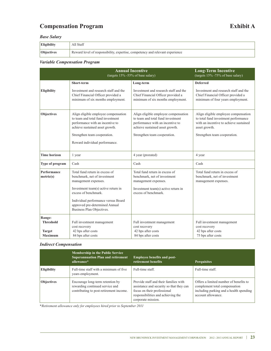### **Compensation Program Exhibit A**

#### *Base Salary*

| Eligibility              | ll Staff)                                                                     |
|--------------------------|-------------------------------------------------------------------------------|
| <i><b>Objectives</b></i> | Reward level of responsibility, expertise, competency and relevant experience |

#### *Variable Compensation Program*

|                                                               |                                                                                                                                                                                                                                                             | <b>Annual Incentive</b><br>(targets 15% -55% of base salary)                                                                                                                     | <b>Long-Term Incentive</b><br>(targets 15% -75% of base salary)                                                                                                         |  |
|---------------------------------------------------------------|-------------------------------------------------------------------------------------------------------------------------------------------------------------------------------------------------------------------------------------------------------------|----------------------------------------------------------------------------------------------------------------------------------------------------------------------------------|-------------------------------------------------------------------------------------------------------------------------------------------------------------------------|--|
|                                                               | Short-term                                                                                                                                                                                                                                                  | Long-term                                                                                                                                                                        | <b>Deferred</b>                                                                                                                                                         |  |
| <b>Eligibility</b>                                            | Investment and research staff and the<br>Chief Financial Officer provided a<br>minimum of six months employment.                                                                                                                                            | Investment and research staff and the<br>Chief Financial Officer provided a<br>minimum of six months employment.                                                                 | Investment and research staff and the<br>Chief Financial Officer provided a<br>minimum of four years employment.                                                        |  |
| Objectives                                                    | Align eligible employee compensation<br>to team and total fund investment<br>performance with an incentive to<br>achieve sustained asset growth.<br>Strengthen team cooperation.<br>Reward individual performance.                                          | Align eligible employee compensation<br>to team and total fund investment<br>performance with an incentive to<br>achieve sustained asset growth.<br>Strengthen team cooperation. | Align eligible employee compensation<br>to total fund investment performance<br>with an incentive to achieve sustained<br>asset growth.<br>Strengthen team cooperation. |  |
| <b>Time horizon</b>                                           | 1 year                                                                                                                                                                                                                                                      | 4 year (prorated)                                                                                                                                                                | 4 year                                                                                                                                                                  |  |
| Type of program                                               | Cash                                                                                                                                                                                                                                                        | Cash                                                                                                                                                                             | Cash                                                                                                                                                                    |  |
| Performance<br>metric(s)                                      | Total fund return in excess of<br>benchmark, net of investment<br>management expenses.<br>Investment team(s) active return in<br>excess of benchmark.<br>Individual performance versus Board<br>approved pre-determined Annual<br>Business Plan Objectives. | Total fund return in excess of<br>benchmark, net of investment<br>management expenses.<br>Investment team(s) active return in<br>excess of benchmark.                            | Total fund return in excess of<br>benchmark, net of investment<br>management expenses.                                                                                  |  |
| Range:<br><b>Threshold</b><br><b>Target</b><br><b>Maximum</b> | Full investment management<br>cost recovery<br>42 bps after costs<br>84 bps after costs                                                                                                                                                                     | Full investment management<br>cost recovery<br>42 bps after costs<br>84 bps after costs                                                                                          | Full investment management<br>cost recovery<br>42 bps after costs<br>75 bps after costs                                                                                 |  |

#### *Indirect Compensation*

|                    | <b>Membership in the Public Service</b><br><b>Superannuation Plan and retirement</b><br>allowance*             | <b>Employee benefits and post-</b><br>retirement benefits                                                                                                                    | <b>Perquisites</b>                                                                                                                       |
|--------------------|----------------------------------------------------------------------------------------------------------------|------------------------------------------------------------------------------------------------------------------------------------------------------------------------------|------------------------------------------------------------------------------------------------------------------------------------------|
|                    |                                                                                                                |                                                                                                                                                                              |                                                                                                                                          |
| <b>Eligibility</b> | Full-time staff with a minimum of five<br>years employment.                                                    | Full-time staff.                                                                                                                                                             | Full-time staff.                                                                                                                         |
| <b>Objectives</b>  | Encourage long-term retention by<br>rewarding continued service and<br>contributing to post-retirement income. | Provide staff and their families with<br>assistance and security so that they can<br>focus on their professional<br>responsibilities and achieving the<br>corporate mission. | Offers a limited number of benefits to<br>complement total compensation<br>including parking and a health spending<br>account allowance. |

*\*Retirement allowance only for employees hired prior to September 2011*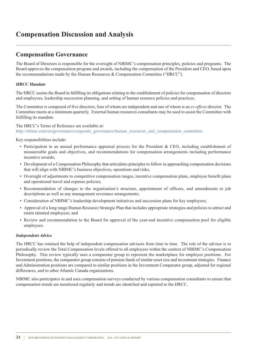### **Compensation Discussion and Analysis**

### **Compensation Governance**

The Board of Directors is responsible for the oversight of NBIMC's compensation principles, policies and programs. The Board approves the compensation program and awards, including the compensation of the President and CEO, based upon the recommendations made by the Human Resources & Compensation Committee ("HRCC").

#### *HRCC Mandate*

The HRCC assists the Board in fulfilling its obligations relating to the establishment of policies for compensation of directors and employees, leadership succession planning, and setting of human resource policies and practices.

The Committee is composed of five directors, four of whom are independent and one of whom is an *ex officio* director. The Committee meets at a minimum quarterly. External human resources consultants may be used to assist the Committee with fulfilling its mandate.

The HRCC's Terms of Reference are available at: http://nbimc.com/en/governance/corporate\_governance/human\_resources\_and\_compensation\_committee.

Key responsibilities include:

- Participation in an annual performance appraisal process for the President & CEO, including establishment of measureable goals and objectives, and recommendations for compensation arrangements including performance incentive awards;
- Development of a Compensation Philosophy that articulates principles to follow in approaching compensation decisions that will align with NBIMC's business objectives, operations and risks;
- Oversight of adjustments to competitive compensation ranges, incentive compensation plans, employee benefit plans and operational travel and expense policies;
- Recommendation of changes to the organization's structure, appointment of officers, and amendments to job descriptions as well as any management severance arrangements;
- Consideration of NBIMC's leadership development initiatives and succession plans for key employees;
- Approval of a long range Human Resource Strategic Plan that includes appropriate strategies and policies to attract and retain talented employees; and
- Review and recommendation to the Board for approval of the year-end incentive compensation pool for eligible employees.

#### *Independent Advice*

The HRCC has retained the help of independent compensation advisors from time to time. The role of the advisor is to periodically review the Total Compensation levels offered to all employees within the context of NBIMC's Compensation Philosophy. This review typically uses a comparator group to represent the marketplace for employee positions. For Investment positions, the comparator group consists of pension funds of similar asset size and investment strategies. Finance and Administration positions are compared to similar positions in the Investment Comparator group, adjusted for regional differences, and to other Atlantic Canada organizations.

NBIMC also participates in and uses compensation surveys conducted by various compensation consultants to ensure that compensation trends are monitored regularly and trends are identified and reported to the HRCC.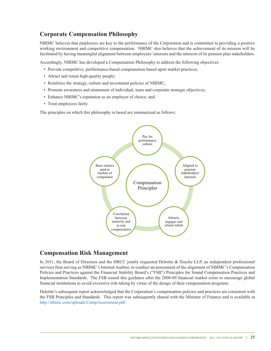### **Corporate Compensation Philosophy**

NBIMC believes that employees are key to the performance of the Corporation and is committed to providing a positive working environment and competitive compensation. NBIMC also believes that the achievement of its mission will be facilitated by having meaningful alignment between employees' interests and the interests of its pension plan stakeholders.

Accordingly, NBIMC has developed a Compensation Philosophy to address the following objectives:

- Provide competitive, performance-based compensation based upon market practices;
- Attract and retain high-quality people;
- Reinforce the strategy, culture and investment policies of NBIMC;
- Promote awareness and attainment of individual, team and corporate strategic objectives;
- Enhance NBIMC's reputation as an employer of choice; and
- Treat employees fairly.

The principles on which this philosophy is based are summarized as follows:



#### **Compensation Risk Management**

In 2011, the Board of Directors and the HRCC jointly requested Deloitte & Touche LLP, an independent professional services firm serving as NBIMC's Internal Auditor, to conduct an assessment of the alignment of NBIMC's Compensation Policies and Practices against the Financial Stability Board's ("FSB") Principles for Sound Compensation Practices and Implementation Standards. The FSB issued this guidance after the 2008-09 financial market crisis to encourage global financial institutions to avoid excessive risk-taking by virtue of the design of their compensation programs.

Deloitte's subsequent report acknowledged that the Corporation's compensation policies and practices are consistent with the FSB Principles and Standards. This report was subsequently shared with the Minister of Finance and is available at http://nbimc.com/uploads/CompAssessment.pdf.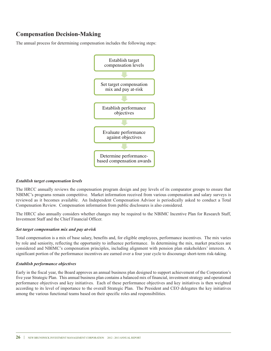### **Compensation Decision-Making**

The annual process for determining compensation includes the following steps:



#### *Establish target compensation levels*

The HRCC annually reviews the compensation program design and pay levels of its comparator groups to ensure that NBIMC's programs remain competitive. Market information received from various compensation and salary surveys is reviewed as it becomes available. An Independent Compensation Advisor is periodically asked to conduct a Total Compensation Review. Compensation information from public disclosures is also considered.

The HRCC also annually considers whether changes may be required to the NBIMC Incentive Plan for Research Staff, Investment Staff and the Chief Financial Officer.

#### *Set target compensation mix and pay at-risk*

Total compensation is a mix of base salary, benefits and, for eligible employees, performance incentives. The mix varies by role and seniority, reflecting the opportunity to influence performance. In determining the mix, market practices are considered and NBIMC's compensation principles, including alignment with pension plan stakeholders' interests. A significant portion of the performance incentives are earned over a four year cycle to discourage short-term risk-taking.

#### *Establish performance objectives*

Early in the fiscal year, the Board approves an annual business plan designed to support achievement of the Corporation's five year Strategic Plan. This annual business plan contains a balanced mix of financial, investment strategy and operational performance objectives and key initiatives. Each of these performance objectives and key initiatives is then weighted according to its level of importance to the overall Strategic Plan. The President and CEO delegates the key initiatives among the various functional teams based on their specific roles and responsibilities.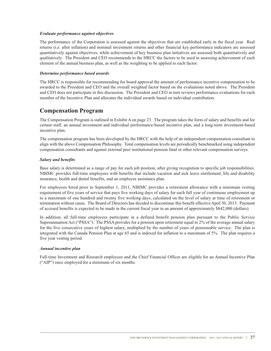#### *Evaluate performance against objectives*

The performance of the Corporation is assessed against the objectives that are established early in the fiscal year. Real returns (i.e. after inflation) and nominal investment returns and other financial key performance indicators are assessed quantitatively against objectives, while achievement of key business plan initiatives are assessed both quantitatively and qualitatively. The President and CEO recommends to the HRCC the factors to be used in assessing achievement of each element of the annual business plan, as well as the weighting to be applied to each factor.

#### *Determine performance based awards*

The HRCC is responsible for recommending for board approval the amount of performance incentive compensation to be awarded to the President and CEO and the overall weighted factor based on the evaluations noted above. The President and CEO does not participate in this discussion. The President and CEO in turn reviews performance evaluations for each member of the Incentive Plan and allocates the individual awards based on individual contribution.

### **Compensation Program**

The Compensation Program is outlined in Exhibit A on page 23. The program takes the form of salary and benefits and for certain staff, an annual investment and individual performance-based incentive plan, and a long-term investment-based incentive plan.

The compensation program has been developed by the HRCC with the help of an independent compensation consultant to align with the above Compensation Philosophy. Total compensation levels are periodically benchmarked using independent compensation consultants and against external peer institutional pension fund or other relevant compensation surveys.

#### *Salary and benefits*

Base salary is determined as a range of pay for each job position, after giving recognition to specific job responsibilities. NBIMC provides full-time employees with benefits that include vacation and sick leave entitlement, life and disability insurance, health and dental benefits, and an employee assistance plan.

For employees hired prior to September 1, 2011, NBIMC provides a retirement allowance with a minimum vesting requirement of five years of service that pays five working days of salary for each full year of continuous employment up to a maximum of one hundred and twenty five working days, calculated on the level of salary at time of retirement or termination without cause. The Board of Directors has decided to discontinue this benefit effective April 30, 2013. Payment of accrued benefits is expected to be made in the current fiscal year in an amount of approximately \$842,000 (dollars).

In addition, all full-time employees participate in a defined benefit pension plan pursuant to the Public Service Superannuation Act ("PSSA"). The PSSA provides for a pension upon retirement equal to 2% of the average annual salary for the five consecutive years of highest salary, multiplied by the number of years of pensionable service. The plan is integrated with the Canada Pension Plan at age 65 and is indexed for inflation to a maximum of 5%. The plan requires a five year vesting period.

#### *Annual incentive plan*

Full-time Investment and Research employees and the Chief Financial Officer are eligible for an Annual Incentive Plan ("AIP") once employed for a minimum of six months.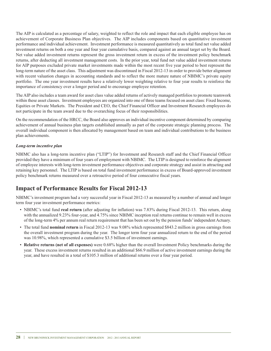The AIP is calculated as a percentage of salary, weighted to reflect the role and impact that each eligible employee has on achievement of Corporate Business Plan objectives. The AIP includes components based on quantitative investment performance and individual achievement. Investment performance is measured quantitatively as total fund net value added investment returns on both a one year and four year cumulative basis, compared against an annual target set by the Board. Net value added investment returns represent the gross investment return in excess of the investment policy benchmark returns, after deducting all investment management costs. In the prior year, total fund net value added investment returns for AIP purposes excluded private market investments made within the most recent five year period to best represent the long-term nature of the asset class. This adjustment was discontinued in Fiscal 2012-13 in order to provide better alignment with recent valuation changes in accounting standards and to reflect the more mature nature of NBIMC's private equity portfolio. The one year investment results have a relatively lower weighting relative to four year results to reinforce the importance of consistency over a longer period and to encourage employee retention.

The AIP also includes a team award for asset class value added returns of actively managed portfolios to promote teamwork within these asset classes. Investment employees are organized into one of three teams focused on asset class: Fixed Income, Equities or Private Markets. The President and CEO, the Chief Financial Officer and Investment Research employees do not participate in the team award due to the overarching focus of their responsibilities.

On the recommendation of the HRCC, the Board also approves an individual incentive component determined by comparing achievement of annual business plan targets established annually as part of the corporate strategic planning process. The overall individual component is then allocated by management based on team and individual contributions to the business plan achievements.

#### *Long-term incentive plan*

NBIMC also has a long-term incentive plan ("LTIP") for Investment and Research staff and the Chief Financial Officer provided they have a minimum of four years of employment with NBIMC. The LTIP is designed to reinforce the alignment of employee interests with long-term investment performance objectives and corporate strategy and assist in attracting and retaining key personnel. The LTIP is based on total fund investment performance in excess of Board-approved investment policy benchmark returns measured over a retroactive period of four consecutive fiscal years.

### **Impact of Performance Results for Fiscal 2012-13**

NBIMC's investment program had a very successful year in Fiscal 2012-13 as measured by a number of annual and longer term four year investment performance metrics:

- NBIMC's total fund **real return** (after adjusting for inflation) was 7.83% during Fiscal 2012-13. This return, along with the annualized 9.23% four-year, and 4.75% since NBIMC inception real returns continue to remain well in excess of the long-term 4% per annum real return requirement that has been set out by the pension funds'independent Actuary.
- The total fund **nominal return** in Fiscal 2012-13 was 9.08% which represented \$843.2 million in gross earnings from the overall investment program during the year. The longer term four year annualized return to the end of the period was 10.98%, which represented a cumulative \$3.5 billion of investment earnings.
- **Relative returns (net of all expenses)** were 0.68% higher than the overall Investment Policy benchmarks during the year. These excess investment returns resulted in an additional \$66.9 million of active investment earnings during the year, and have resulted in a total of \$105.3 million of additional returns over a four year period.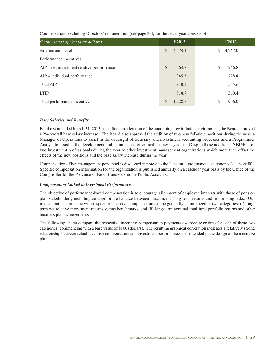Compensation, excluding Directors' remuneration (see page 33), for the fiscal year consists of:

| (in thousands of Canadian dollars)          | F <sub>2013</sub> | F <sub>2012</sub> |
|---------------------------------------------|-------------------|-------------------|
| Salaries and benefits                       | 4,574.4<br>\$     | 4,767.0<br>\$     |
| Performance incentives:                     |                   |                   |
| $AIP$ – net investment relative performance | S<br>564.8        | 246.8<br>S        |
| $AIP$ – individual performance              | 345.3             | 298.8             |
| <b>Total AIP</b>                            | 910.1             | 545.6             |
| <b>LTIP</b>                                 | 818.7             | 360.4             |
| Total performance incentives                | 1,728.8<br>S.     | 906.0             |

#### *Base Salaries and Benefits*

For the year ended March 31, 2013, and after consideration of the continuing low inflation environment, the Board approved a 2% overall base salary increase. The Board also approved the addition of two new full-time positions during the year: a Manager of Operations to assist in the oversight of fiduciary and investment accounting processes and a Programmer Analyst to assist in the development and maintenance of critical business systems. Despite these additions, NBIMC lost two investment professionals during the year to other investment management organizations which more than offset the effects of the new positions and the base salary increase during the year.

Compensation of key management personnel is discussed in note 8 to the Pension Fund financial statements (see page 80). Specific compensation information for the organization is published annually on a calendar year basis by the Office of the Comptroller for the Province of New Brunswick in the Public Accounts.

#### *Compensation Linked to Investment Performance*

The objective of performance-based compensation is to encourage alignment of employee interests with those of pension plan stakeholders, including an appropriate balance between maximizing long-term returns and minimizing risks. Our investment performance with respect to incentive compensation can be generally summarized in two categories: (i) longterm net relative investment returns versus benchmarks, and (ii) long-term nominal total fund portfolio returns and other business plan achievements.

The following charts compare the respective incentive compensation payments awarded over time for each of these two categories, commencing with a base value of \$100 (dollars). The resulting graphical correlation indicates a relatively strong relationship between actual incentive compensation and investment performance as is intended in the design of the incentive plan.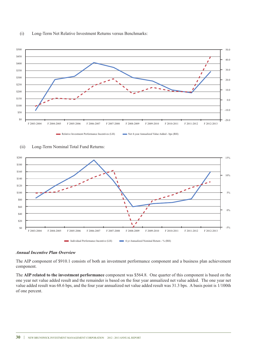







#### *Annual Incentive Plan Overview*

The AIP component of \$910.1 consists of both an investment performance component and a business plan achievement component.

The **AIP related to the investment performance** component was \$564.8. One quarter of this component is based on the one year net value added result and the remainder is based on the four year annualized net value added. The one year net value added result was 68.6 bps, and the four year annualized net value added result was 31.3 bps. A basis point is 1/100th of one percent.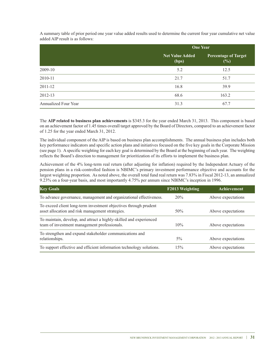A summary table of prior period one year value added results used to determine the current four year cumulative net value added AIP result is as follows:

|                      | <b>One Year</b>          |                                       |
|----------------------|--------------------------|---------------------------------------|
|                      | Net Value Added<br>(bps) | <b>Percentage of Target</b><br>$(\%)$ |
| 2009-10              | 5.2                      | 12.5                                  |
| 2010-11              | 21.7                     | 51.7                                  |
| 2011-12              | 16.8                     | 39.9                                  |
| 2012-13              | 68.6                     | 163.2                                 |
| Annualized Four Year | 31.3                     | 67.7                                  |

The **AIP related to business plan achievements** is \$345.3 for the year ended March 31, 2013. This component is based on an achievement factor of 1.45 times overall target approved by the Board of Directors, compared to an achievement factor of 1.25 for the year ended March 31, 2012.

The individual component of the AIP is based on business plan accomplishments. The annual business plan includes both key performance indicators and specific action plans and initiatives focused on the five key goals in the Corporate Mission (see page 1). A specific weighting for each key goal is determined by the Board at the beginning of each year. The weighting reflects the Board's direction to management for prioritization of its efforts to implement the business plan.

Achievement of the 4% long-term real return (after adjusting for inflation) required by the Independent Actuary of the pension plans in a risk-controlled fashion is NBIMC's primary investment performance objective and accounts for the largest weighting proportion. As noted above, the overall total fund real return was 7.83% in Fiscal 2012-13, an annualized 9.23% on a four-year basis, and most importantly 4.75% per annum since NBIMC's inception in 1996.

| <b>Key Goals</b>                                                                                                     | F2013 Weighting | <b>Achievement</b> |
|----------------------------------------------------------------------------------------------------------------------|-----------------|--------------------|
| To advance governance, management and organizational effectiveness.                                                  | 20%             | Above expectations |
| To exceed client long-term investment objectives through prudent<br>asset allocation and risk management strategies. | 50%             | Above expectations |
| To maintain, develop, and attract a highly-skilled and experienced<br>team of investment management professionals.   | 10%             | Above expectations |
| To strengthen and expand stakeholder communications and<br>relationships.                                            | $5\%$           | Above expectations |
| To support effective and efficient information technology solutions.                                                 | 15%             | Above expectations |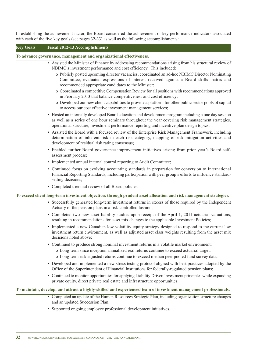In establishing the achievement factor, the Board considered the achievement of key performance indicators associated with each of the five key goals (see pages 32-33) as well as the following accomplishments:

| <b>Key Goals</b> | <b>Fiscal 2012-13 Accomplishments</b>                                                                                                                                                                                                                                                                  |
|------------------|--------------------------------------------------------------------------------------------------------------------------------------------------------------------------------------------------------------------------------------------------------------------------------------------------------|
|                  | To advance governance, management and organizational effectiveness.                                                                                                                                                                                                                                    |
|                  | • Assisted the Minister of Finance by addressing recommendations arising from his structural review of<br>NBIMC's investment performance and cost efficiency. This included:                                                                                                                           |
|                  | o Publicly posted upcoming director vacancies, coordinated an ad-hoc NBIMC Director Nominating<br>Committee, evaluated expressions of interest received against a Board skills matrix and<br>recommended appropriate candidates to the Minister;                                                       |
|                  | o Coordinated a competitive Compensation Review for all positions with recommendations approved<br>in February 2013 that balance competitiveness and cost efficiency;                                                                                                                                  |
|                  | o Developed our new client capabilities to provide a platform for other public sector pools of capital<br>to access our cost effective investment management services;                                                                                                                                 |
|                  | • Hosted an internally developed Board education and development program including a one day session<br>as well as a series of one hour seminars throughout the year covering risk management strategies,<br>operational structure, investment performance reporting and incentive plan design topics; |
|                  | • Assisted the Board with a focused review of the Enterprise Risk Management Framework, including<br>determination of inherent risk in each risk category, mapping of risk mitigation activities and<br>development of residual risk rating consensus;                                                 |
|                  | • Enabled further Board governance improvement initiatives arising from prior year's Board self-<br>assessment process;                                                                                                                                                                                |
|                  | • Implemented annual internal control reporting to Audit Committee;                                                                                                                                                                                                                                    |
|                  | • Continued focus on evolving accounting standards in preparation for conversion to International<br>Financial Reporting Standards, including participation with peer group's efforts to influence standard-<br>setting decisions;                                                                     |
|                  | • Completed triennial review of all Board policies.                                                                                                                                                                                                                                                    |
|                  | To exceed client long-term investment objectives through prudent asset allocation and risk management strategies.                                                                                                                                                                                      |
|                  | • Successfully generated long-term investment returns in excess of those required by the Independent<br>Actuary of the pension plans in a risk-controlled fashion;                                                                                                                                     |
|                  | • Completed two new asset liability studies upon receipt of the April 1, 2011 actuarial valuations,<br>resulting in recommendations for asset mix changes to the applicable Investment Policies;                                                                                                       |
|                  | • Implemented a new Canadian low volatility equity strategy designed to respond to the current low<br>investment return environment, as well as adjusted asset class weights resulting from the asset mix<br>decisions noted above;                                                                    |
|                  | • Continued to produce strong nominal investment returns in a volatile market environment:                                                                                                                                                                                                             |
|                  | o Long-term since inception annualized real returns continue to exceed actuarial target;                                                                                                                                                                                                               |
|                  | o Long-term risk adjusted returns continue to exceed median peer pooled fund survey data;                                                                                                                                                                                                              |
|                  | • Developed and implemented a new stress testing protocol aligned with best practices adopted by the<br>Office of the Superintendent of Financial Institutions for federally-regulated pension plans;                                                                                                  |
|                  | • Continued to monitor opportunities for applying Liability Driven Investment principles while expanding<br>private equity, direct private real estate and infrastructure opportunities.                                                                                                               |
|                  | To maintain, develop, and attract a highly-skilled and experienced team of investment management professionals.                                                                                                                                                                                        |

| • Completed an update of the Human Resources Strategic Plan, including organization structure changes |
|-------------------------------------------------------------------------------------------------------|
| and an updated Succession Plan;                                                                       |
| • Supported ongoing employee professional development initiatives.                                    |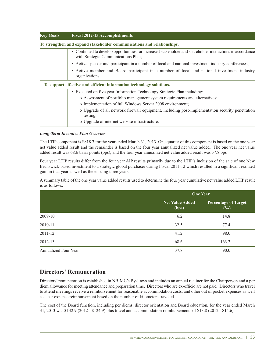| <b>Key Goals</b> | <b>Fiscal 2012-13 Accomplishments</b>                                                                                                                       |
|------------------|-------------------------------------------------------------------------------------------------------------------------------------------------------------|
|                  | To strengthen and expand stakeholder communications and relationships.                                                                                      |
|                  | Continued to develop opportunities for increased stakeholder and shareholder interactions in accordance<br>$\bullet$<br>with Strategic Communications Plan; |
|                  | Active speaker and participant in a number of local and national investment industry conferences;<br>$\bullet$                                              |
|                  | • Active member and Board participant in a number of local and national investment industry<br>organizations.                                               |
|                  | To support effective and efficient information technology solutions.                                                                                        |
|                  | Executed on five year Information Technology Strategic Plan including:<br>٠                                                                                 |
|                  | o Assessment of portfolio management system requirements and alternatives;                                                                                  |
|                  | o Implementation of full Windows Server 2008 environment;                                                                                                   |
|                  | o Upgrade of all network firewall equipment, including post-implementation security penetration<br>testing;                                                 |
|                  | o Upgrade of internet website infrastructure.                                                                                                               |

#### *Long-Term Incentive Plan Overview*

The LTIP component is \$818.7 for the year ended March 31, 2013. One quarter of this component is based on the one year net value added result and the remainder is based on the four year annualized net value added. The one year net value added result was 68.6 basis points (bps), and the four year annualized net value added result was 37.8 bps

Four year LTIP results differ from the four year AIP results primarily due to the LTIP's inclusion of the sale of one New Brunswick-based investment to a strategic global purchaser during Fiscal 2011-12 which resulted in a significant realized gain in that year as well as the ensuing three years.

A summary table of the one year value added results used to determine the four year cumulative net value added LTIP result is as follows:

|                      | <b>One Year</b>                 |                                       |
|----------------------|---------------------------------|---------------------------------------|
|                      | <b>Net Value Added</b><br>(bps) | <b>Percentage of Target</b><br>$(\%)$ |
| 2009-10              | 6.2                             | 14.8                                  |
| 2010-11              | 32.5                            | 77.4                                  |
| 2011-12              | 41.2                            | 98.0                                  |
| 2012-13              | 68.6                            | 163.2                                 |
| Annualized Four Year | 37.8                            | 90.0                                  |

### **Directors' Remuneration**

Directors'remuneration is established in NBIMC's By-Laws and includes an annual retainer for the Chairperson and a per diem allowance for meeting attendance and preparation time. Directors who are ex-officio are not paid. Directors who travel to attend meetings receive a reimbursement for reasonable accommodation costs, and other out of pocket expenses as well as a car expense reimbursement based on the number of kilometers traveled.

The cost of the Board function, including per diems, director orientation and Board education, for the year ended March 31, 2013 was \$132.9 (2012 - \$124.9) plus travel and accommodation reimbursements of \$13.8 (2012 - \$14.6).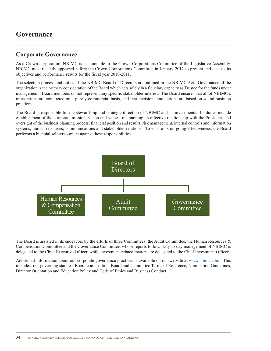### **Governance**

### **Corporate Governance**

As a Crown corporation, NBIMC is accountable to the Crown Corporations Committee of the Legislative Assembly. NBIMC most recently appeared before the Crown Corporations Committee in January 2012 to present and discuss its objectives and performance results for the fiscal year 2010-2011.

The selection process and duties of the NBIMC Board of Directors are outlined in the NBIMC Act. Governance of the organization is the primary consideration of the Board which acts solely in a fiduciary capacity as Trustee for the funds under management. Board members do not represent any specific stakeholder interest. The Board ensures that all of NBIMC's transactions are conducted on a purely commercial basis, and that decisions and actions are based on sound business practices.

The Board is responsible for the stewardship and strategic direction of NBIMC and its investments. Its duties include establishment of the corporate mission, vision and values, maintaining an effective relationship with the President, and oversight of the business planning process, financial position and results, risk management, internal controls and information systems, human resources, communications and stakeholder relations. To ensure its on-going effectiveness, the Board performs a biennial self-assessment against these responsibilities.



The Board is assisted in its endeavors by the efforts of three Committees: the Audit Committee, the Human Resources & Compensation Committee and the Governance Committee, whose reports follow. Day-to-day management of NBIMC is delegated to the Chief Executive Officer, while investment-related matters are delegated to the Chief Investment Officer.

Additional information about our corporate governance practices is available on our website at www.nbimc.com. This includes: our governing statutes, Board composition, Board and Committee Terms of Reference, Nomination Guidelines, Director Orientation and Education Policy and Code of Ethics and Business Conduct.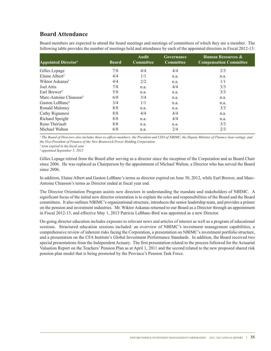### **Board Attendance**

Board members are expected to attend the board meetings and meetings of committees of which they are a member. The following table provides the number of meetings held and attendance by each of the appointed directors in Fiscal 2012-13:

| <b>Appointed Director1</b>         | <b>Board</b> | <b>Audit</b><br><b>Committee</b> | Governance<br><b>Committee</b> | <b>Human Resources &amp;</b><br><b>Compensation Committee</b> |
|------------------------------------|--------------|----------------------------------|--------------------------------|---------------------------------------------------------------|
| Gilles Lepage                      | 7/8          | 4/4                              | 4/4                            | 2/3                                                           |
| Elaine Albert <sup>2</sup>         | 4/4          | 1/1                              | n.a.                           | n.a.                                                          |
| Wiktor Askanas <sup>3</sup>        | 4/4          | 2/2                              | n.a.                           | 1/1                                                           |
| Joel Attis                         | 7/8          | n.a.                             | 4/4                            | 3/3                                                           |
| Earl Brewer <sup>2</sup>           | 5/8          | n.a.                             | n.a.                           | 3/3                                                           |
| Marc-Antoine Chiasson <sup>2</sup> | 6/8          | 3/4                              | n.a.                           | n.a.                                                          |
| Gaston LeBlanc <sup>2</sup>        | 3/4          | 1/1                              | n.a.                           | n.a.                                                          |
| Ronald Maloney                     | 8/8          | n.a.                             | n.a.                           | 3/3                                                           |
| Cathy Rignanesi                    | 8/8          | 4/4                              | 4/4                            | n.a.                                                          |
| Richard Speight                    | 8/8          | n.a.                             | 4/4                            | n.a.                                                          |
| Reno Thériault                     | 8/8          | n.a.                             | n.a.                           | 3/3                                                           |
| Michael Walton                     | 6/8          | n.a.                             | 2/4                            | 2/3                                                           |

<sup>1</sup> The Board of Directors also includes three ex-officio members: the President and CEO of NBIMC, the Deputy Minister of Finance (non-voting), and *the Vice-President of Finance of the New Brunswick Power Holding Corporation.*

*² term expired in the fiscal year ³ appointed September 5, 2012*

Gilles Lepage retired from the Board after serving as a director since the inception of the Corporation and as Board Chair since 2006. He was replaced as Chairperson by the appointment of Michael Walton, a Director who has served the Board since 2006.

In addition, Elaine Albert and Gaston LeBlanc's terms as director expired on June 30, 2012, while Earl Brewer, and Marc-Antoine Chiasson's terms as Director ended at fiscal year end.

The Director Orientation Program assists new directors in understanding the mandate and stakeholders of NBIMC. A significant focus of the initial new director orientation is to explain the roles and responsibilities of the Board and the Board committees. It also outlines NBIMC's organizational structure, introduces the senior leadership team, and provides a primer on the pension and investment industries. Mr. Wiktor Askanas returned to our Board as a Director through an appointment in Fiscal 2012-13, and effective May 1, 2013 Patricia LeBlanc-Bird was appointed as a new Director.

On-going director education includes exposure to relevant news and articles of interest as well as a program of educational sessions. Structured education sessions included: an overview of NBIMC's investment management capabilities, a comprehensive review of inherent risks facing the Corporation, a presentation on NBIMC's investment portfolio structure, and a presentation on the CFA Institute's Global Investment Performance Standards. In addition, the Board received two special presentations from the Independent Actuary. The first presentation related to the process followed for the Actuarial Valuation Report on the Teachers' Pension Plan as at April 1, 2011 and the second related to the new proposed shared risk pension plan model that is being promoted by the Province's Pension Task Force.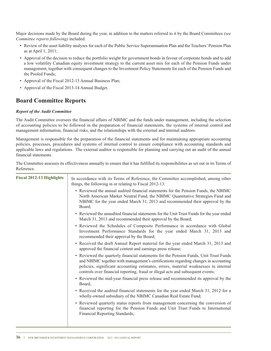Major decisions made by the Board during the year, in addition to the matters referred to it by the Board Committees *(see Committee reports following)* included:

- Review of the asset liability analyses for each of the Public Service Superannuation Plan and the Teachers'Pension Plan as at April 1, 2011;
- Approval of the decision to reduce the portfolio weight for government bonds in favour of corporate bonds and to add a low volatility Canadian equity investment strategy to the current asset mix for each of the Pension Funds under management, together with consequent changes to the Investment Policy Statements for each of the Pension Funds and the Pooled Funds;
- Approval of the Fiscal 2012-13 Annual Business Plan;
- Approval of the Fiscal 2013-14 Annual Budget.

### **Board Committee Reports**

#### *Report of the Audit Committee*

The Audit Committee oversees the financial affairs of NBIMC and the funds under management, including the selection of accounting policies to be followed in the preparation of financial statements, the systems of internal control and management information, financial risks, and the relationships with the external and internal auditors.

Management is responsible for the preparation of the financial statements and for maintaining appropriate accounting policies, processes, procedures and systems of internal control to ensure compliance with accounting standards and applicable laws and regulations. The external auditor is responsible for planning and carrying out an audit of the annual financial statements.

The Committee assesses its effectiveness annually to ensure that it has fulfilled its responsibilities as set out in its Terms of Reference.

| <b>Fiscal 2012-13 Highlights</b> | In accordance with its Terms of Reference, the Committee accomplished, among other<br>things, the following in or relating to Fiscal 2012-13:                                                                                                                                                                                                          |
|----------------------------------|--------------------------------------------------------------------------------------------------------------------------------------------------------------------------------------------------------------------------------------------------------------------------------------------------------------------------------------------------------|
|                                  | • Reviewed the annual audited financial statements for the Pension Funds, the NBIMC<br>North American Market Neutral Fund, the NBIMC Quantitative Strategies Fund and<br>NBIMC for the year ended March 31, 2013 and recommended their approval by the<br>Board;                                                                                       |
|                                  | • Reviewed the unaudited financial statements for the Unit Trust Funds for the year ended<br>March 31, 2013 and recommended their approval by the Board;                                                                                                                                                                                               |
|                                  | • Reviewed the Schedules of Composite Performance in accordance with Global<br>Investment Performance Standards for the year ended March 31, 2013 and<br>recommended their approval by the Board;                                                                                                                                                      |
|                                  | • Received the draft Annual Report material for the year ended March 31, 2013 and<br>approved the financial content and earnings press release;                                                                                                                                                                                                        |
|                                  | • Reviewed the quarterly financial statements for the Pension Funds, Unit Trust Funds<br>and NBIMC together with management's certifications regarding changes in accounting<br>policies, significant accounting estimates, errors, material weaknesses in internal<br>controls over financial reporting, fraud or illegal acts and subsequent events; |
|                                  | • Reviewed the mid-year financial press release and recommended its approval by the<br>Board;                                                                                                                                                                                                                                                          |
|                                  | • Received the audited financial statements for the year ended March 31, 2012 for a<br>wholly-owned subsidiary of the NBIMC Canadian Real Estate Fund;                                                                                                                                                                                                 |
|                                  | • Reviewed quarterly status reports from management concerning the conversion of<br>financial reporting for the Pension Funds and Unit Trust Funds to International<br>Financial Reporting Standards;                                                                                                                                                  |
|                                  |                                                                                                                                                                                                                                                                                                                                                        |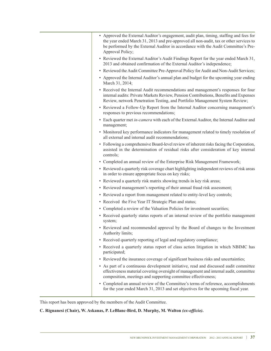| • Approved the External Auditor's engagement, audit plan, timing, staffing and fees for<br>the year ended March 31, 2013 and pre-approved all non-audit, tax or other services to<br>be performed by the External Auditor in accordance with the Audit Committee's Pre-<br>Approval Policy; |
|---------------------------------------------------------------------------------------------------------------------------------------------------------------------------------------------------------------------------------------------------------------------------------------------|
| • Reviewed the External Auditor's Audit Findings Report for the year ended March 31,<br>2013 and obtained confirmation of the External Auditor's independence;                                                                                                                              |
| • Reviewed the Audit Committee Pre-Approval Policy for Audit and Non-Audit Services;                                                                                                                                                                                                        |
| • Approved the Internal Auditor's annual plan and budget for the upcoming year ending<br>March 31, 2014;                                                                                                                                                                                    |
| • Received the Internal Audit recommendations and management's responses for four<br>internal audits: Private Markets Review, Pension Contributions, Benefits and Expenses<br>Review, network Penetration Testing, and Portfolio Management System Review;                                  |
| • Reviewed a Follow-Up Report from the Internal Auditor concerning management's<br>responses to previous recommendations;                                                                                                                                                                   |
| • Each quarter met in-camera with each of the External Auditor, the Internal Auditor and<br>management;                                                                                                                                                                                     |
| • Monitored key performance indicators for management related to timely resolution of<br>all external and internal audit recommendations;                                                                                                                                                   |
| • Following a comprehensive Board-level review of inherent risks facing the Corporation,<br>assisted in the determination of residual risks after consideration of key internal<br>controls;                                                                                                |
| • Completed an annual review of the Enterprise Risk Management Framework;                                                                                                                                                                                                                   |
| • Reviewed a quarterly risk coverage chart highlighting independent reviews of risk areas<br>in order to ensure appropriate focus on key risks;                                                                                                                                             |
| • Reviewed a quarterly risk matrix showing trends in key risk areas;                                                                                                                                                                                                                        |
| • Reviewed management's reporting of their annual fraud risk assessment;                                                                                                                                                                                                                    |
| • Reviewed a report from management related to entity-level key controls;                                                                                                                                                                                                                   |
| • Received the Five Year IT Strategic Plan and status;                                                                                                                                                                                                                                      |
| • Completed a review of the Valuation Policies for investment securities;                                                                                                                                                                                                                   |
| • Received quarterly status reports of an internal review of the portfolio management<br>system;                                                                                                                                                                                            |
| • Reviewed and recommended approval by the Board of changes to the Investment<br>Authority limits;                                                                                                                                                                                          |
| • Received quarterly reporting of legal and regulatory compliance;                                                                                                                                                                                                                          |
| • Received a quarterly status report of class action litigation in which NBIMC has<br>participated;                                                                                                                                                                                         |
| • Reviewed the insurance coverage of significant business risks and uncertainties;                                                                                                                                                                                                          |
| • As part of a continuous development initiative, read and discussed audit committee<br>effectiveness material covering oversight of management and internal audit, committee<br>composition, meetings and supporting committee effectiveness;                                              |
| • Completed an annual review of the Committee's terms of reference, accomplishments<br>for the year ended March 31, 2013 and set objectives for the upcoming fiscal year.                                                                                                                   |

This report has been approved by the members of the Audit Committee.

**C. Rignanesi (Chair), W. Askanas, P. LeBlanc-Bird, D. Murphy, M. Walton** *(ex-officio)***.**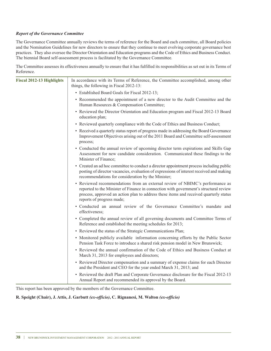#### *Report of the Governance Committee*

The Governance Committee annually reviews the terms of reference for the Board and each committee, all Board policies and the Nomination Guidelines for new directors to ensure that they continue to meet evolving corporate governance best practices. They also oversee the Director Orientation and Education programs and the Code of Ethics and Business Conduct. The biennial Board self-assessment process is facilitated by the Governance Committee.

The Committee assesses its effectiveness annually to ensure that it has fulfilled its responsibilities as set out in its Terms of Reference.

| <b>Fiscal 2012-13 Highlights</b> | In accordance with its Terms of Reference, the Committee accomplished, among other<br>things, the following in Fiscal 2012-13:                                                                                                                                                              |
|----------------------------------|---------------------------------------------------------------------------------------------------------------------------------------------------------------------------------------------------------------------------------------------------------------------------------------------|
|                                  | • Established Board Goals for Fiscal 2012-13;                                                                                                                                                                                                                                               |
|                                  | • Recommended the appointment of a new director to the Audit Committee and the<br>Human Resources & Compensation Committee;                                                                                                                                                                 |
|                                  | • Reviewed the Director Orientation and Education program and Fiscal 2012-13 Board<br>education plan;                                                                                                                                                                                       |
|                                  | • Reviewed quarterly compliance with the Code of Ethics and Business Conduct;                                                                                                                                                                                                               |
|                                  | • Received a quarterly status report of progress made in addressing the Board Governance<br>Improvement Objectives arising out of the 2011 Board and Committee self-assessment<br>process;                                                                                                  |
|                                  | • Conducted the annual review of upcoming director term expirations and Skills Gap<br>Assessment for new candidate consideration. Communicated these findings to the<br>Minister of Finance;                                                                                                |
|                                  | • Created an ad hoc committee to conduct a director appointment process including public<br>posting of director vacancies, evaluation of expressions of interest received and making<br>recommendations for consideration by the Minister;                                                  |
|                                  | • Reviewed recommendations from an external review of NBIMC's performance as<br>reported to the Minister of Finance in connection with government's structural review<br>process, approved an action plan to address these items and received quarterly status<br>reports of progress made; |
|                                  | · Conducted an annual review of the Governance Committee's mandate and<br>effectiveness;                                                                                                                                                                                                    |
|                                  | • Completed the annual review of all governing documents and Committee Terms of<br>Reference and established the meeting schedules for 2013;                                                                                                                                                |
|                                  | • Reviewed the status of the Strategic Communications Plan;                                                                                                                                                                                                                                 |
|                                  | • Monitored publicly available information concerning efforts by the Public Sector<br>Pension Task Force to introduce a shared risk pension model in New Brunswick;                                                                                                                         |
|                                  | • Reviewed the annual confirmation of the Code of Ethics and Business Conduct at<br>March 31, 2013 for employees and directors;                                                                                                                                                             |
|                                  | • Reviewed Director compensation and a summary of expense claims for each Director<br>and the President and CEO for the year ended March 31, 2013; and                                                                                                                                      |
|                                  | • Reviewed the draft Plan and Corporate Governance disclosure for the Fiscal 2012-13<br>Annual Report and recommended its approval by the Board.                                                                                                                                            |

This report has been approved by the members of the Governance Committee.

#### **R. Speight (Chair), J. Attis, J. Garbutt** *(ex-officio)***, C. Rignanesi, M. Walton** *(ex-officio)*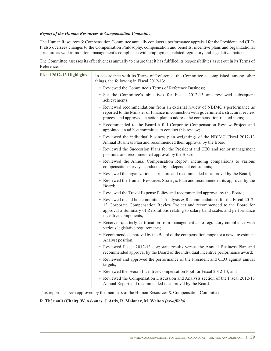#### *Report of the Human Resources & Compensation Committee*

The Human Resources & Compensation Committee annually conducts a performance appraisal for the President and CEO. It also oversees changes to the Compensation Philosophy, compensation and benefits, incentive plans and organizational structure as well as monitors management's compliance with employment-related regulatory and legislative matters.

The Committee assesses its effectiveness annually to ensure that it has fulfilled its responsibilities as set out in its Terms of Reference.

| <b>Fiscal 2012-13 Highlights</b> | In accordance with its Terms of Reference, the Committee accomplished, among other<br>things, the following in Fiscal 2012-13:                                                                                                                                              |  |  |
|----------------------------------|-----------------------------------------------------------------------------------------------------------------------------------------------------------------------------------------------------------------------------------------------------------------------------|--|--|
|                                  | • Reviewed the Committee's Terms of Reference Business;                                                                                                                                                                                                                     |  |  |
|                                  | • Set the Committee's objectives for Fiscal 2012-13 and reviewed subsequent<br>achievements;                                                                                                                                                                                |  |  |
|                                  | • Reviewed recommendations from an external review of NBIMC's performance as<br>reported to the Minister of Finance in connection with government's structural review<br>process and approved an action plan to address the compensation-related items;                     |  |  |
|                                  | • Recommended to the Board a full Corporate Compensation Review Project and<br>appointed an ad hoc committee to conduct this review;                                                                                                                                        |  |  |
|                                  | • Reviewed the individual business plan weightings of the NBIMC Fiscal 2012-13<br>Annual Business Plan and recommended their approval by the Board;                                                                                                                         |  |  |
|                                  | • Reviewed the Succession Plans for the President and CEO and senior management<br>positions and recommended approval by the Board;                                                                                                                                         |  |  |
|                                  | · Reviewed the Annual Compensation Report, including comparisons to various<br>compensation surveys conducted by independent consultants;                                                                                                                                   |  |  |
|                                  | • Reviewed the organizational structure and recommended its approval by the Board;                                                                                                                                                                                          |  |  |
|                                  | • Reviewed the Human Resources Strategic Plan and recommended its approval by the<br>Board;                                                                                                                                                                                 |  |  |
|                                  | • Reviewed the Travel Expense Policy and recommended approval by the Board;                                                                                                                                                                                                 |  |  |
|                                  | • Reviewed the ad hoc committee's Analysis & Recommendations for the Fiscal 2012-<br>13 Corporate Compensation Review Project and recommended to the Board for<br>approval a Summary of Resolutions relating to salary band scales and performance<br>incentive components; |  |  |
|                                  | • Received quarterly certification from management as to regulatory compliance with<br>various legislative requirements;                                                                                                                                                    |  |  |
|                                  | • Recommended approval by the Board of the compensation range for a new Investment<br>Analyst position;                                                                                                                                                                     |  |  |
|                                  | • Reviewed Fiscal 2012-13 corporate results versus the Annual Business Plan and<br>recommended approval by the Board of the individual incentive performance award;                                                                                                         |  |  |
|                                  | • Reviewed and approved the performance of the President and CEO against annual<br>targets;                                                                                                                                                                                 |  |  |
|                                  | • Reviewed the overall Incentive Compensation Pool for Fiscal 2012-13; and                                                                                                                                                                                                  |  |  |
|                                  | • Reviewed the Compensation Discussion and Analysis section of the Fiscal 2012-13<br>Annual Report and recommended its approval by the Board.                                                                                                                               |  |  |

This report has been approved by the members of the Human Resources  $&$  Compensation Committee.

#### **R. Thériault (Chair), W. Askanas, J. Attis, R. Maloney, M. Walton** *(ex-officio)*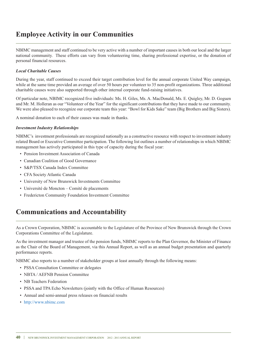### **Employee Activity in our Communities**

NBIMC management and staff continued to be very active with a number of important causes in both our local and the larger national community. These efforts can vary from volunteering time, sharing professional expertise, or the donation of personal financial resources.

#### *Local Charitable Causes*

During the year, staff continued to exceed their target contribution level for the annual corporate United Way campaign, while at the same time provided an average of over 50 hours per volunteer to 35 non-profit organizations. Three additional charitable causes were also supported through other internal corporate fund-raising initiatives.

Of particular note, NBIMC recognized five individuals: Ms. H. Giles, Ms. A. MacDonald, Ms. E. Quigley, Mr. D. Goguen and Mr. M. Holleran as our "Volunteer of the Year" for the significant contributions that they have made to our community. We were also pleased to recognize our corporate team this year: "Bowl for Kids Sake" team (Big Brothers and Big Sisters).

A nominal donation to each of their causes was made in thanks.

#### *Investment Industry Relationships*

NBIMC's investment professionals are recognized nationally as a constructive resource with respect to investment industry related Board or Executive Committee participation. The following list outlines a number of relationships in which NBIMC management has actively participated in this type of capacity during the fiscal year:

- Pension Investment Association of Canada
- Canadian Coalition of Good Governance
- S&P/TSX Canada Index Committee
- CFA Society Atlantic Canada
- University of New Brunswick Investments Committee
- Université de Moncton Comité de placements
- Fredericton Community Foundation Investment Committee

### **Communications and Accountability**

As a Crown Corporation, NBIMC is accountable to the Legislature of the Province of New Brunswick through the Crown Corporations Committee of the Legislature.

As the investment manager and trustee of the pension funds, NBIMC reports to the Plan Governor, the Minister of Finance as the Chair of the Board of Management, via this Annual Report, as well as an annual budget presentation and quarterly performance reports.

NBIMC also reports to a number of stakeholder groups at least annually through the following means:

- PSSA Consultation Committee or delegates
- NBTA / AEFNB Pension Committee
- NB Teachers Federation
- PSSA and TPA Echo Newsletters (jointly with the Office of Human Resources)
- Annual and semi-annual press releases on financial results
- http://www.nbimc.com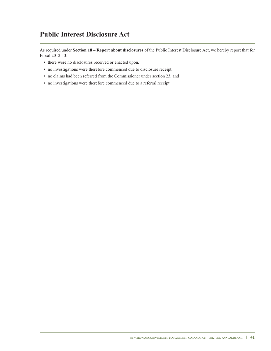### **Public Interest Disclosure Act**

As required under **Section 18 – Report about disclosures** of the Public Interest Disclosure Act, we hereby report that for Fiscal 2012-13:

- there were no disclosures received or enacted upon,
- no investigations were therefore commenced due to disclosure receipt,
- no claims had been referred from the Commissioner under section 23, and
- no investigations were therefore commenced due to a referral receipt.